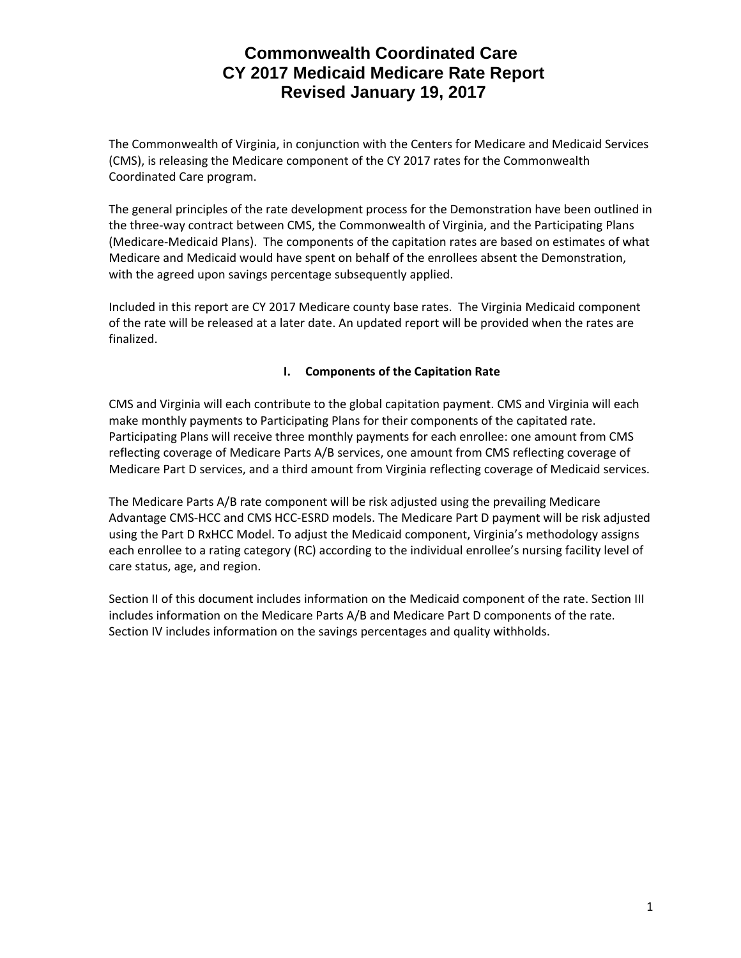The Commonwealth of Virginia, in conjunction with the Centers for Medicare and Medicaid Services (CMS), is releasing the Medicare component of the CY 2017 rates for the Commonwealth Coordinated Care program.

The general principles of the rate development process for the Demonstration have been outlined in the three‐way contract between CMS, the Commonwealth of Virginia, and the Participating Plans (Medicare‐Medicaid Plans). The components of the capitation rates are based on estimates of what Medicare and Medicaid would have spent on behalf of the enrollees absent the Demonstration, with the agreed upon savings percentage subsequently applied.

Included in this report are CY 2017 Medicare county base rates. The Virginia Medicaid component of the rate will be released at a later date. An updated report will be provided when the rates are finalized.

#### **I. Components of the Capitation Rate**

CMS and Virginia will each contribute to the global capitation payment. CMS and Virginia will each make monthly payments to Participating Plans for their components of the capitated rate. Participating Plans will receive three monthly payments for each enrollee: one amount from CMS reflecting coverage of Medicare Parts A/B services, one amount from CMS reflecting coverage of Medicare Part D services, and a third amount from Virginia reflecting coverage of Medicaid services.

The Medicare Parts A/B rate component will be risk adjusted using the prevailing Medicare Advantage CMS‐HCC and CMS HCC‐ESRD models. The Medicare Part D payment will be risk adjusted using the Part D RxHCC Model. To adjust the Medicaid component, Virginia's methodology assigns each enrollee to a rating category (RC) according to the individual enrollee's nursing facility level of care status, age, and region.

Section II of this document includes information on the Medicaid component of the rate. Section III includes information on the Medicare Parts A/B and Medicare Part D components of the rate. Section IV includes information on the savings percentages and quality withholds.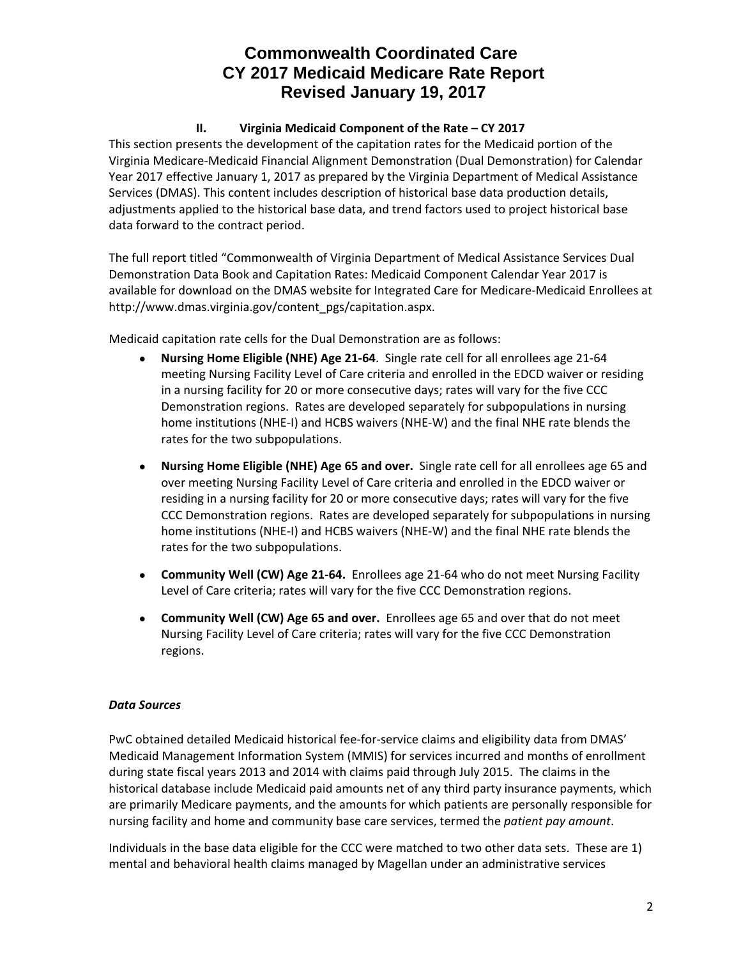#### **II. Virginia Medicaid Component of the Rate – CY 2017**

This section presents the development of the capitation rates for the Medicaid portion of the Virginia Medicare‐Medicaid Financial Alignment Demonstration (Dual Demonstration) for Calendar Year 2017 effective January 1, 2017 as prepared by the Virginia Department of Medical Assistance Services (DMAS). This content includes description of historical base data production details, adjustments applied to the historical base data, and trend factors used to project historical base data forward to the contract period.

The full report titled "Commonwealth of Virginia Department of Medical Assistance Services Dual Demonstration Data Book and Capitation Rates: Medicaid Component Calendar Year 2017 is available for download on the DMAS website for Integrated Care for Medicare‐Medicaid Enrollees at http://www.dmas.virginia.gov/content\_pgs/capitation.aspx.

Medicaid capitation rate cells for the Dual Demonstration are as follows:

- **Nursing Home Eligible (NHE) Age 21‐64**. Single rate cell for all enrollees age 21‐64 meeting Nursing Facility Level of Care criteria and enrolled in the EDCD waiver or residing in a nursing facility for 20 or more consecutive days; rates will vary for the five CCC Demonstration regions. Rates are developed separately for subpopulations in nursing home institutions (NHE‐I) and HCBS waivers (NHE‐W) and the final NHE rate blends the rates for the two subpopulations.
- **Nursing Home Eligible (NHE) Age 65 and over.** Single rate cell for all enrollees age 65 and over meeting Nursing Facility Level of Care criteria and enrolled in the EDCD waiver or residing in a nursing facility for 20 or more consecutive days; rates will vary for the five CCC Demonstration regions. Rates are developed separately for subpopulations in nursing home institutions (NHE‐I) and HCBS waivers (NHE‐W) and the final NHE rate blends the rates for the two subpopulations.
- **Community Well (CW) Age 21‐64.** Enrollees age 21‐64 who do not meet Nursing Facility Level of Care criteria; rates will vary for the five CCC Demonstration regions.
- **Community Well (CW) Age 65 and over.** Enrollees age 65 and over that do not meet Nursing Facility Level of Care criteria; rates will vary for the five CCC Demonstration regions.

#### *Data Sources*

PwC obtained detailed Medicaid historical fee‐for‐service claims and eligibility data from DMAS' Medicaid Management Information System (MMIS) for services incurred and months of enrollment during state fiscal years 2013 and 2014 with claims paid through July 2015. The claims in the historical database include Medicaid paid amounts net of any third party insurance payments, which are primarily Medicare payments, and the amounts for which patients are personally responsible for nursing facility and home and community base care services, termed the *patient pay amount*.

Individuals in the base data eligible for the CCC were matched to two other data sets. These are 1) mental and behavioral health claims managed by Magellan under an administrative services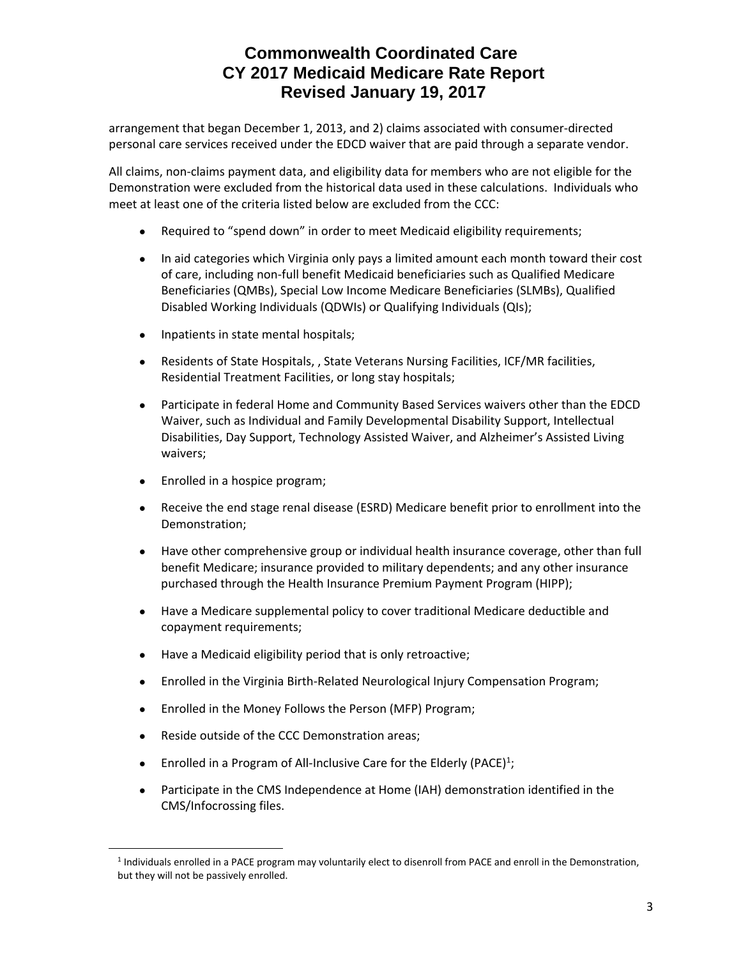arrangement that began December 1, 2013, and 2) claims associated with consumer‐directed personal care services received under the EDCD waiver that are paid through a separate vendor.

All claims, non‐claims payment data, and eligibility data for members who are not eligible for the Demonstration were excluded from the historical data used in these calculations. Individuals who meet at least one of the criteria listed below are excluded from the CCC:

- Required to "spend down" in order to meet Medicaid eligibility requirements;
- In aid categories which Virginia only pays a limited amount each month toward their cost of care, including non‐full benefit Medicaid beneficiaries such as Qualified Medicare Beneficiaries (QMBs), Special Low Income Medicare Beneficiaries (SLMBs), Qualified Disabled Working Individuals (QDWIs) or Qualifying Individuals (QIs);
- Inpatients in state mental hospitals;
- Residents of State Hospitals, , State Veterans Nursing Facilities, ICF/MR facilities, Residential Treatment Facilities, or long stay hospitals;
- Participate in federal Home and Community Based Services waivers other than the EDCD Waiver, such as Individual and Family Developmental Disability Support, Intellectual Disabilities, Day Support, Technology Assisted Waiver, and Alzheimer's Assisted Living waivers;
- Enrolled in a hospice program;
- Receive the end stage renal disease (ESRD) Medicare benefit prior to enrollment into the Demonstration;
- Have other comprehensive group or individual health insurance coverage, other than full benefit Medicare; insurance provided to military dependents; and any other insurance purchased through the Health Insurance Premium Payment Program (HIPP);
- Have a Medicare supplemental policy to cover traditional Medicare deductible and copayment requirements;
- Have a Medicaid eligibility period that is only retroactive;
- Enrolled in the Virginia Birth-Related Neurological Injury Compensation Program;
- Enrolled in the Money Follows the Person (MFP) Program;
- Reside outside of the CCC Demonstration areas;

 $\overline{a}$ 

- **•** Enrolled in a Program of All-Inclusive Care for the Elderly (PACE)<sup>1</sup>;
- Participate in the CMS Independence at Home (IAH) demonstration identified in the CMS/Infocrossing files.

<sup>&</sup>lt;sup>1</sup> Individuals enrolled in a PACE program may voluntarily elect to disenroll from PACE and enroll in the Demonstration, but they will not be passively enrolled.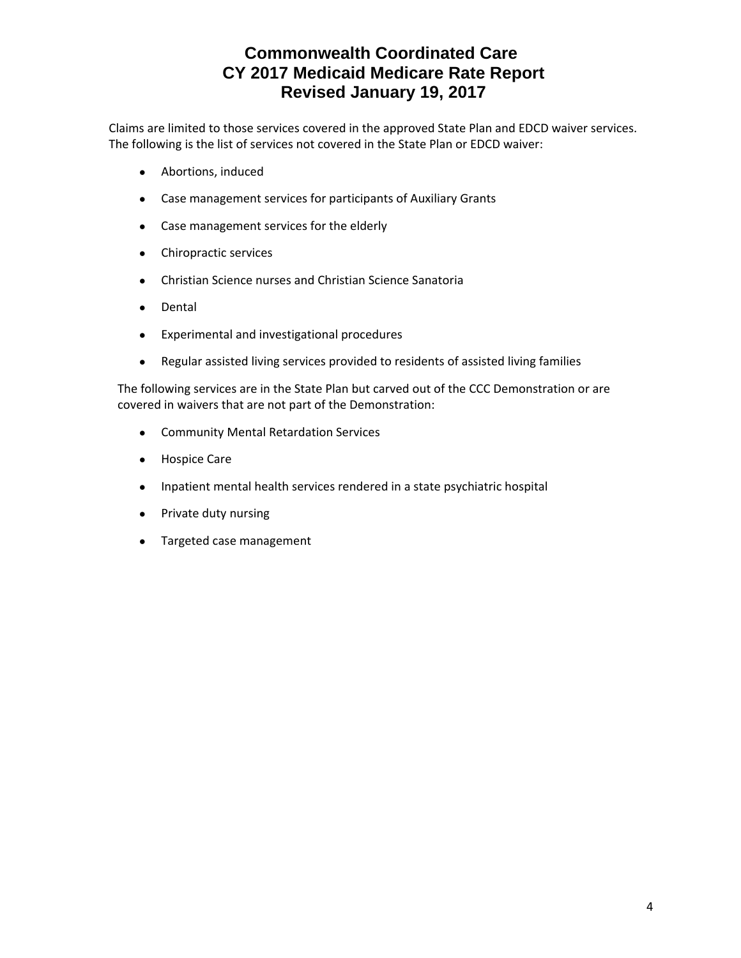Claims are limited to those services covered in the approved State Plan and EDCD waiver services. The following is the list of services not covered in the State Plan or EDCD waiver:

- Abortions, induced
- Case management services for participants of Auxiliary Grants
- Case management services for the elderly
- Chiropractic services
- Christian Science nurses and Christian Science Sanatoria
- Dental
- Experimental and investigational procedures
- Regular assisted living services provided to residents of assisted living families

The following services are in the State Plan but carved out of the CCC Demonstration or are covered in waivers that are not part of the Demonstration:

- Community Mental Retardation Services
- Hospice Care
- Inpatient mental health services rendered in a state psychiatric hospital
- Private duty nursing
- Targeted case management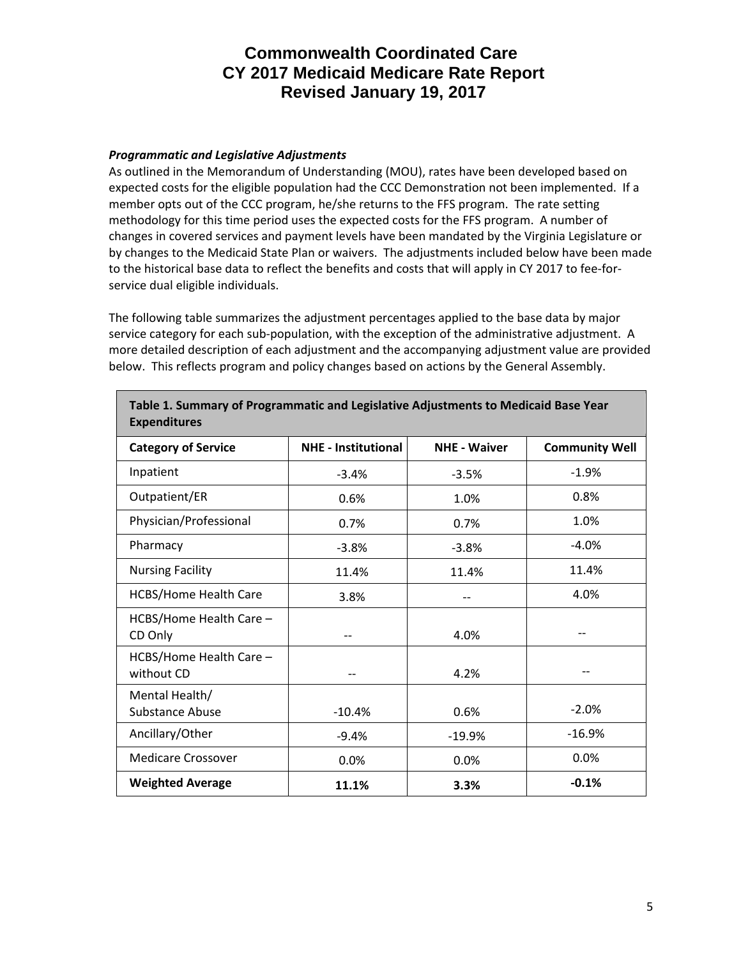#### *Programmatic and Legislative Adjustments*

As outlined in the Memorandum of Understanding (MOU), rates have been developed based on expected costs for the eligible population had the CCC Demonstration not been implemented. If a member opts out of the CCC program, he/she returns to the FFS program. The rate setting methodology for this time period uses the expected costs for the FFS program. A number of changes in covered services and payment levels have been mandated by the Virginia Legislature or by changes to the Medicaid State Plan or waivers. The adjustments included below have been made to the historical base data to reflect the benefits and costs that will apply in CY 2017 to fee‐for‐ service dual eligible individuals.

The following table summarizes the adjustment percentages applied to the base data by major service category for each sub‐population, with the exception of the administrative adjustment. A more detailed description of each adjustment and the accompanying adjustment value are provided below. This reflects program and policy changes based on actions by the General Assembly.

| <b>Expenditures</b>                   |                            |                     |                       |
|---------------------------------------|----------------------------|---------------------|-----------------------|
| <b>Category of Service</b>            | <b>NHE - Institutional</b> | <b>NHE - Waiver</b> | <b>Community Well</b> |
| Inpatient                             | $-3.4%$                    | $-3.5%$             | $-1.9%$               |
| Outpatient/ER                         | 0.6%                       | 1.0%                | 0.8%                  |
| Physician/Professional                | 0.7%                       | 0.7%                | 1.0%                  |
| Pharmacy                              | $-3.8%$                    | $-3.8%$             | $-4.0%$               |
| <b>Nursing Facility</b>               | 11.4%                      | 11.4%               | 11.4%                 |
| <b>HCBS/Home Health Care</b>          | 3.8%                       |                     | 4.0%                  |
| HCBS/Home Health Care -<br>CD Only    |                            | 4.0%                |                       |
| HCBS/Home Health Care -<br>without CD |                            | 4.2%                |                       |
| Mental Health/<br>Substance Abuse     | $-10.4%$                   | 0.6%                | $-2.0%$               |
| Ancillary/Other                       | $-9.4%$                    | $-19.9%$            | $-16.9%$              |
| Medicare Crossover                    | 0.0%                       | 0.0%                | 0.0%                  |
| <b>Weighted Average</b>               | 11.1%                      | 3.3%                | $-0.1%$               |

**Table 1. Summary of Programmatic and Legislative Adjustments to Medicaid Base Year**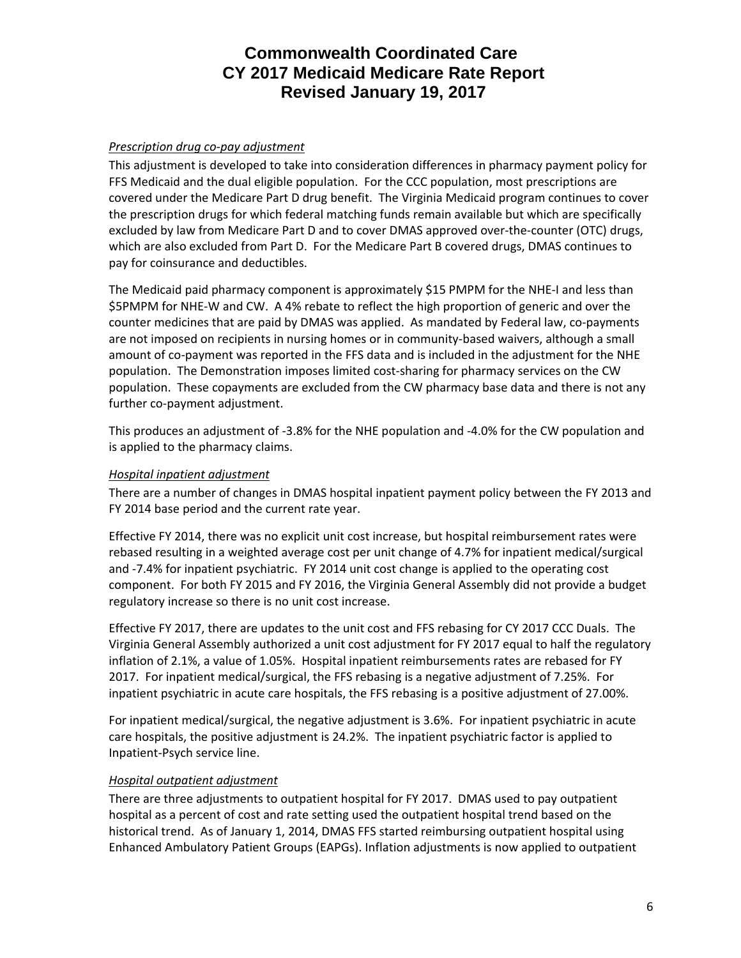#### *Prescription drug co‐pay adjustment*

This adjustment is developed to take into consideration differences in pharmacy payment policy for FFS Medicaid and the dual eligible population. For the CCC population, most prescriptions are covered under the Medicare Part D drug benefit. The Virginia Medicaid program continues to cover the prescription drugs for which federal matching funds remain available but which are specifically excluded by law from Medicare Part D and to cover DMAS approved over-the-counter (OTC) drugs, which are also excluded from Part D. For the Medicare Part B covered drugs, DMAS continues to pay for coinsurance and deductibles.

The Medicaid paid pharmacy component is approximately \$15 PMPM for the NHE‐I and less than \$5PMPM for NHE‐W and CW. A 4% rebate to reflect the high proportion of generic and over the counter medicines that are paid by DMAS was applied. As mandated by Federal law, co‐payments are not imposed on recipients in nursing homes or in community-based waivers, although a small amount of co-payment was reported in the FFS data and is included in the adjustment for the NHE population. The Demonstration imposes limited cost-sharing for pharmacy services on the CW population. These copayments are excluded from the CW pharmacy base data and there is not any further co‐payment adjustment.

This produces an adjustment of ‐3.8% for the NHE population and ‐4.0% for the CW population and is applied to the pharmacy claims.

#### *Hospital inpatient adjustment*

There are a number of changes in DMAS hospital inpatient payment policy between the FY 2013 and FY 2014 base period and the current rate year.

Effective FY 2014, there was no explicit unit cost increase, but hospital reimbursement rates were rebased resulting in a weighted average cost per unit change of 4.7% for inpatient medical/surgical and ‐7.4% for inpatient psychiatric. FY 2014 unit cost change is applied to the operating cost component. For both FY 2015 and FY 2016, the Virginia General Assembly did not provide a budget regulatory increase so there is no unit cost increase.

Effective FY 2017, there are updates to the unit cost and FFS rebasing for CY 2017 CCC Duals. The Virginia General Assembly authorized a unit cost adjustment for FY 2017 equal to half the regulatory inflation of 2.1%, a value of 1.05%. Hospital inpatient reimbursements rates are rebased for FY 2017. For inpatient medical/surgical, the FFS rebasing is a negative adjustment of 7.25%. For inpatient psychiatric in acute care hospitals, the FFS rebasing is a positive adjustment of 27.00%.

For inpatient medical/surgical, the negative adjustment is 3.6%. For inpatient psychiatric in acute care hospitals, the positive adjustment is 24.2%. The inpatient psychiatric factor is applied to Inpatient‐Psych service line.

### *Hospital outpatient adjustment*

There are three adjustments to outpatient hospital for FY 2017. DMAS used to pay outpatient hospital as a percent of cost and rate setting used the outpatient hospital trend based on the historical trend. As of January 1, 2014, DMAS FFS started reimbursing outpatient hospital using Enhanced Ambulatory Patient Groups (EAPGs). Inflation adjustments is now applied to outpatient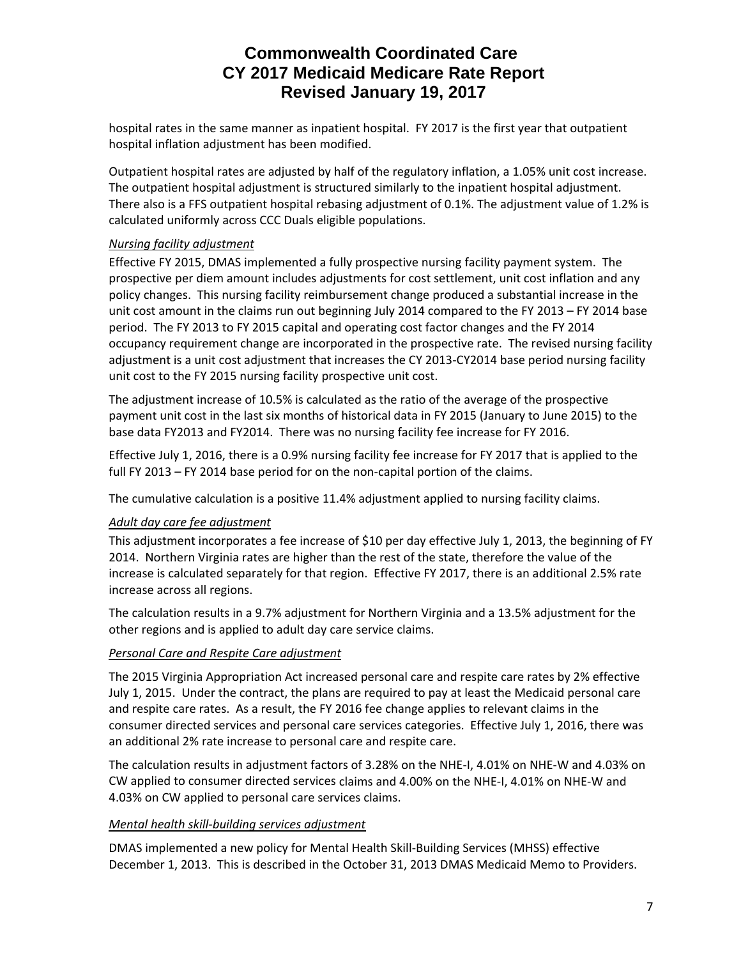hospital rates in the same manner as inpatient hospital. FY 2017 is the first year that outpatient hospital inflation adjustment has been modified.

Outpatient hospital rates are adjusted by half of the regulatory inflation, a 1.05% unit cost increase. The outpatient hospital adjustment is structured similarly to the inpatient hospital adjustment. There also is a FFS outpatient hospital rebasing adjustment of 0.1%. The adjustment value of 1.2% is calculated uniformly across CCC Duals eligible populations.

### *Nursing facility adjustment*

Effective FY 2015, DMAS implemented a fully prospective nursing facility payment system. The prospective per diem amount includes adjustments for cost settlement, unit cost inflation and any policy changes. This nursing facility reimbursement change produced a substantial increase in the unit cost amount in the claims run out beginning July 2014 compared to the FY 2013 – FY 2014 base period. The FY 2013 to FY 2015 capital and operating cost factor changes and the FY 2014 occupancy requirement change are incorporated in the prospective rate. The revised nursing facility adjustment is a unit cost adjustment that increases the CY 2013‐CY2014 base period nursing facility unit cost to the FY 2015 nursing facility prospective unit cost.

The adjustment increase of 10.5% is calculated as the ratio of the average of the prospective payment unit cost in the last six months of historical data in FY 2015 (January to June 2015) to the base data FY2013 and FY2014. There was no nursing facility fee increase for FY 2016.

Effective July 1, 2016, there is a 0.9% nursing facility fee increase for FY 2017 that is applied to the full FY 2013 – FY 2014 base period for on the non-capital portion of the claims.

The cumulative calculation is a positive 11.4% adjustment applied to nursing facility claims.

### *Adult day care fee adjustment*

This adjustment incorporates a fee increase of \$10 per day effective July 1, 2013, the beginning of FY 2014. Northern Virginia rates are higher than the rest of the state, therefore the value of the increase is calculated separately for that region. Effective FY 2017, there is an additional 2.5% rate increase across all regions.

The calculation results in a 9.7% adjustment for Northern Virginia and a 13.5% adjustment for the other regions and is applied to adult day care service claims.

#### *Personal Care and Respite Care adjustment*

The 2015 Virginia Appropriation Act increased personal care and respite care rates by 2% effective July 1, 2015. Under the contract, the plans are required to pay at least the Medicaid personal care and respite care rates. As a result, the FY 2016 fee change applies to relevant claims in the consumer directed services and personal care services categories. Effective July 1, 2016, there was an additional 2% rate increase to personal care and respite care.

The calculation results in adjustment factors of 3.28% on the NHE‐I, 4.01% on NHE‐W and 4.03% on CW applied to consumer directed services claims and 4.00% on the NHE‐I, 4.01% on NHE‐W and 4.03% on CW applied to personal care services claims.

#### *Mental health skill‐building services adjustment*

DMAS implemented a new policy for Mental Health Skill‐Building Services (MHSS) effective December 1, 2013. This is described in the October 31, 2013 DMAS Medicaid Memo to Providers.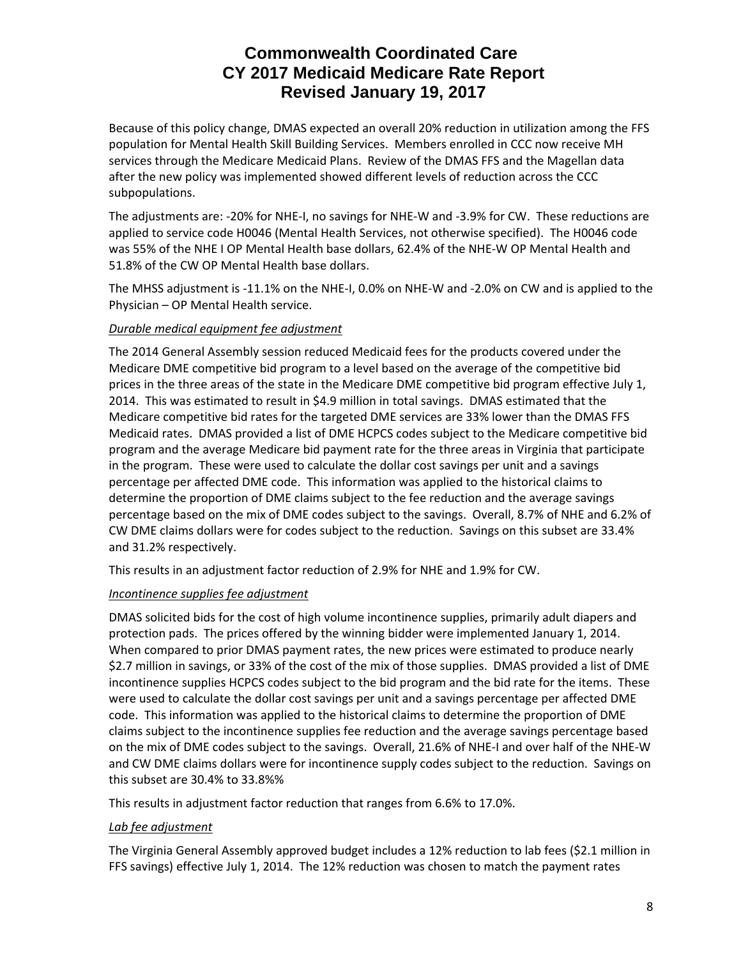Because of this policy change, DMAS expected an overall 20% reduction in utilization among the FFS population for Mental Health Skill Building Services. Members enrolled in CCC now receive MH services through the Medicare Medicaid Plans. Review of the DMAS FFS and the Magellan data after the new policy was implemented showed different levels of reduction across the CCC subpopulations.

The adjustments are: ‐20% for NHE‐I, no savings for NHE‐W and ‐3.9% for CW. These reductions are applied to service code H0046 (Mental Health Services, not otherwise specified). The H0046 code was 55% of the NHE I OP Mental Health base dollars, 62.4% of the NHE‐W OP Mental Health and 51.8% of the CW OP Mental Health base dollars.

The MHSS adjustment is ‐11.1% on the NHE‐I, 0.0% on NHE‐W and ‐2.0% on CW and is applied to the Physician – OP Mental Health service.

### *Durable medical equipment fee adjustment*

The 2014 General Assembly session reduced Medicaid fees for the products covered under the Medicare DME competitive bid program to a level based on the average of the competitive bid prices in the three areas of the state in the Medicare DME competitive bid program effective July 1, 2014. This was estimated to result in \$4.9 million in total savings. DMAS estimated that the Medicare competitive bid rates for the targeted DME services are 33% lower than the DMAS FFS Medicaid rates. DMAS provided a list of DME HCPCS codes subject to the Medicare competitive bid program and the average Medicare bid payment rate for the three areas in Virginia that participate in the program. These were used to calculate the dollar cost savings per unit and a savings percentage per affected DME code. This information was applied to the historical claims to determine the proportion of DME claims subject to the fee reduction and the average savings percentage based on the mix of DME codes subject to the savings. Overall, 8.7% of NHE and 6.2% of CW DME claims dollars were for codes subject to the reduction. Savings on this subset are 33.4% and 31.2% respectively.

This results in an adjustment factor reduction of 2.9% for NHE and 1.9% for CW.

### *Incontinence supplies fee adjustment*

DMAS solicited bids for the cost of high volume incontinence supplies, primarily adult diapers and protection pads. The prices offered by the winning bidder were implemented January 1, 2014. When compared to prior DMAS payment rates, the new prices were estimated to produce nearly \$2.7 million in savings, or 33% of the cost of the mix of those supplies. DMAS provided a list of DME incontinence supplies HCPCS codes subject to the bid program and the bid rate for the items. These were used to calculate the dollar cost savings per unit and a savings percentage per affected DME code. This information was applied to the historical claims to determine the proportion of DME claims subject to the incontinence supplies fee reduction and the average savings percentage based on the mix of DME codes subject to the savings. Overall, 21.6% of NHE‐I and over half of the NHE‐W and CW DME claims dollars were for incontinence supply codes subject to the reduction. Savings on this subset are 30.4% to 33.8%%

This results in adjustment factor reduction that ranges from 6.6% to 17.0%.

#### *Lab fee adjustment*

The Virginia General Assembly approved budget includes a 12% reduction to lab fees (\$2.1 million in FFS savings) effective July 1, 2014. The 12% reduction was chosen to match the payment rates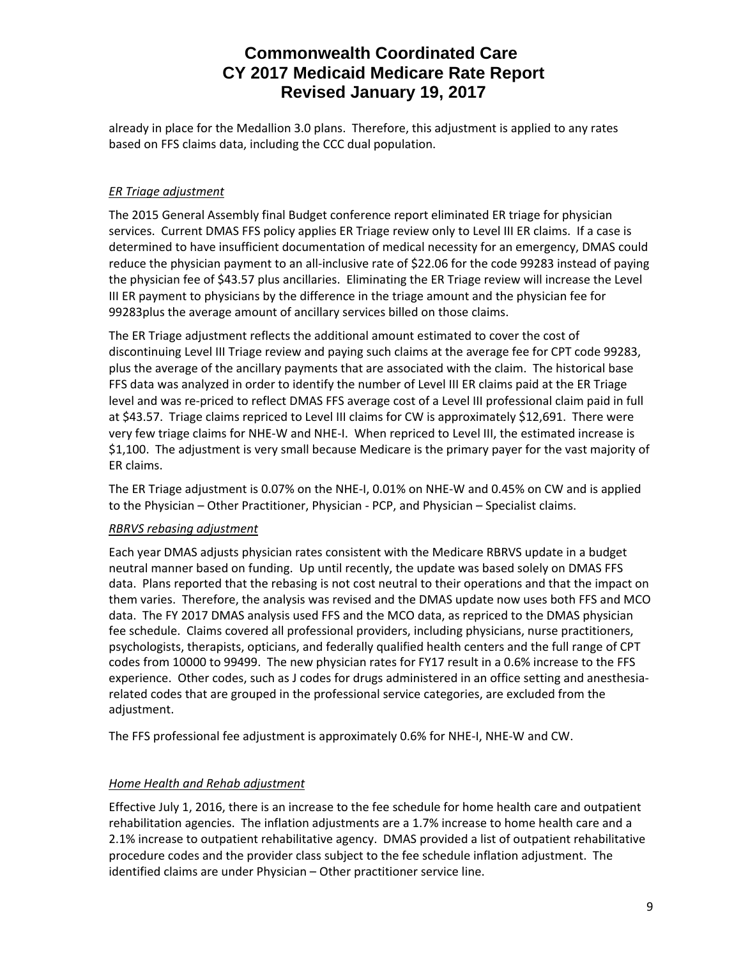already in place for the Medallion 3.0 plans. Therefore, this adjustment is applied to any rates based on FFS claims data, including the CCC dual population.

### *ER Triage adjustment*

The 2015 General Assembly final Budget conference report eliminated ER triage for physician services. Current DMAS FFS policy applies ER Triage review only to Level III ER claims. If a case is determined to have insufficient documentation of medical necessity for an emergency, DMAS could reduce the physician payment to an all‐inclusive rate of \$22.06 for the code 99283 instead of paying the physician fee of \$43.57 plus ancillaries. Eliminating the ER Triage review will increase the Level III ER payment to physicians by the difference in the triage amount and the physician fee for 99283plus the average amount of ancillary services billed on those claims.

The ER Triage adjustment reflects the additional amount estimated to cover the cost of discontinuing Level III Triage review and paying such claims at the average fee for CPT code 99283, plus the average of the ancillary payments that are associated with the claim. The historical base FFS data was analyzed in order to identify the number of Level III ER claims paid at the ER Triage level and was re‐priced to reflect DMAS FFS average cost of a Level III professional claim paid in full at \$43.57. Triage claims repriced to Level III claims for CW is approximately \$12,691. There were very few triage claims for NHE‐W and NHE‐I. When repriced to Level III, the estimated increase is \$1,100. The adjustment is very small because Medicare is the primary payer for the vast majority of ER claims.

The ER Triage adjustment is 0.07% on the NHE‐I, 0.01% on NHE‐W and 0.45% on CW and is applied to the Physician – Other Practitioner, Physician ‐ PCP, and Physician – Specialist claims.

### *RBRVS rebasing adjustment*

Each year DMAS adjusts physician rates consistent with the Medicare RBRVS update in a budget neutral manner based on funding. Up until recently, the update was based solely on DMAS FFS data. Plans reported that the rebasing is not cost neutral to their operations and that the impact on them varies. Therefore, the analysis was revised and the DMAS update now uses both FFS and MCO data. The FY 2017 DMAS analysis used FFS and the MCO data, as repriced to the DMAS physician fee schedule. Claims covered all professional providers, including physicians, nurse practitioners, psychologists, therapists, opticians, and federally qualified health centers and the full range of CPT codes from 10000 to 99499. The new physician rates for FY17 result in a 0.6% increase to the FFS experience. Other codes, such as J codes for drugs administered in an office setting and anesthesiarelated codes that are grouped in the professional service categories, are excluded from the adjustment.

The FFS professional fee adjustment is approximately 0.6% for NHE‐I, NHE‐W and CW.

### *Home Health and Rehab adjustment*

Effective July 1, 2016, there is an increase to the fee schedule for home health care and outpatient rehabilitation agencies. The inflation adjustments are a 1.7% increase to home health care and a 2.1% increase to outpatient rehabilitative agency. DMAS provided a list of outpatient rehabilitative procedure codes and the provider class subject to the fee schedule inflation adjustment. The identified claims are under Physician – Other practitioner service line.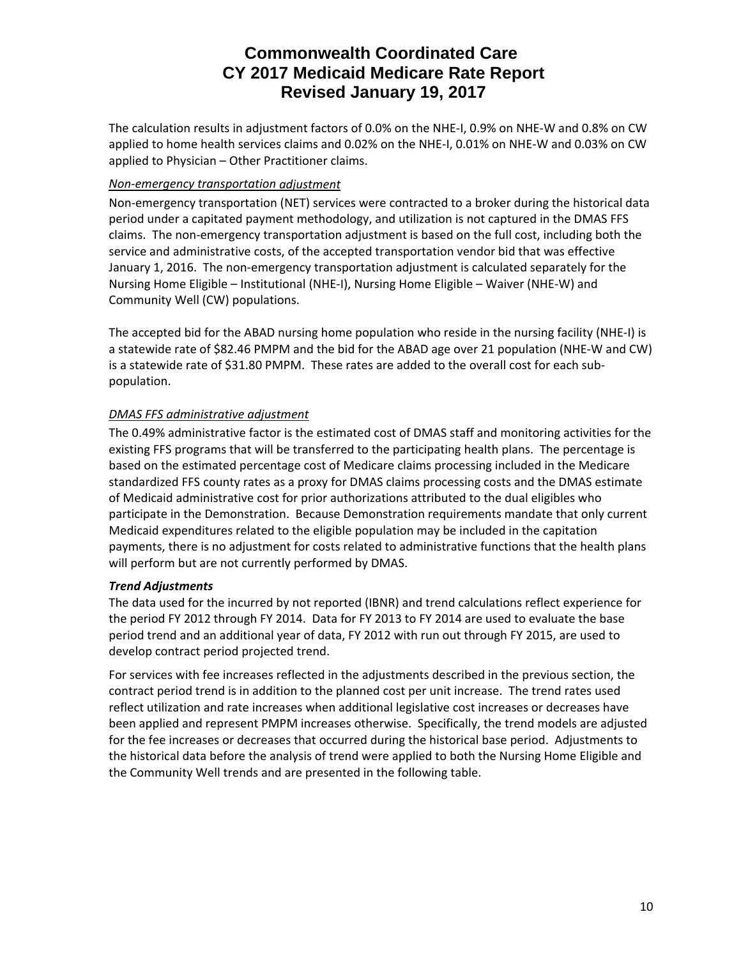The calculation results in adjustment factors of 0.0% on the NHE‐I, 0.9% on NHE‐W and 0.8% on CW applied to home health services claims and 0.02% on the NHE‐I, 0.01% on NHE‐W and 0.03% on CW applied to Physician – Other Practitioner claims.

#### *Non‐emergency transportation adjustment*

Non‐emergency transportation (NET) services were contracted to a broker during the historical data period under a capitated payment methodology, and utilization is not captured in the DMAS FFS claims. The non‐emergency transportation adjustment is based on the full cost, including both the service and administrative costs, of the accepted transportation vendor bid that was effective January 1, 2016. The non‐emergency transportation adjustment is calculated separately for the Nursing Home Eligible – Institutional (NHE‐I), Nursing Home Eligible – Waiver (NHE‐W) and Community Well (CW) populations.

The accepted bid for the ABAD nursing home population who reside in the nursing facility (NHE‐I) is a statewide rate of \$82.46 PMPM and the bid for the ABAD age over 21 population (NHE‐W and CW) is a statewide rate of \$31.80 PMPM. These rates are added to the overall cost for each sub‐ population.

### *DMAS FFS administrative adjustment*

The 0.49% administrative factor is the estimated cost of DMAS staff and monitoring activities for the existing FFS programs that will be transferred to the participating health plans. The percentage is based on the estimated percentage cost of Medicare claims processing included in the Medicare standardized FFS county rates as a proxy for DMAS claims processing costs and the DMAS estimate of Medicaid administrative cost for prior authorizations attributed to the dual eligibles who participate in the Demonstration. Because Demonstration requirements mandate that only current Medicaid expenditures related to the eligible population may be included in the capitation payments, there is no adjustment for costs related to administrative functions that the health plans will perform but are not currently performed by DMAS.

### *Trend Adjustments*

The data used for the incurred by not reported (IBNR) and trend calculations reflect experience for the period FY 2012 through FY 2014. Data for FY 2013 to FY 2014 are used to evaluate the base period trend and an additional year of data, FY 2012 with run out through FY 2015, are used to develop contract period projected trend.

For services with fee increases reflected in the adjustments described in the previous section, the contract period trend is in addition to the planned cost per unit increase. The trend rates used reflect utilization and rate increases when additional legislative cost increases or decreases have been applied and represent PMPM increases otherwise. Specifically, the trend models are adjusted for the fee increases or decreases that occurred during the historical base period. Adjustments to the historical data before the analysis of trend were applied to both the Nursing Home Eligible and the Community Well trends and are presented in the following table.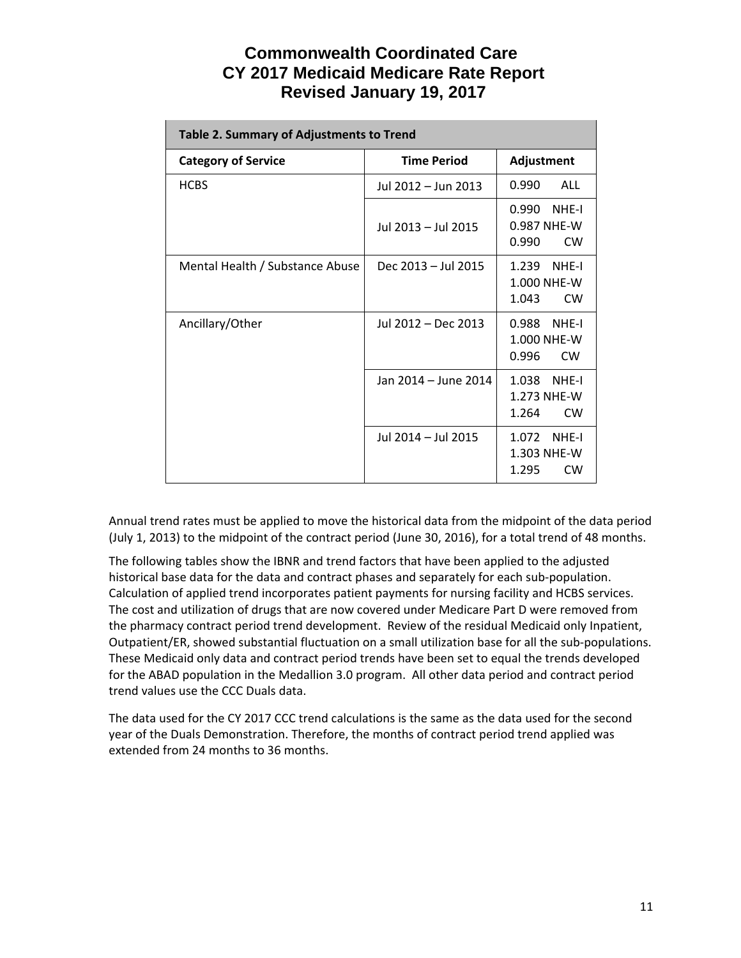| Table 2. Summary of Adjustments to Trend |                      |                                                     |  |  |  |  |
|------------------------------------------|----------------------|-----------------------------------------------------|--|--|--|--|
| <b>Category of Service</b>               | <b>Time Period</b>   | Adjustment                                          |  |  |  |  |
| <b>HCBS</b>                              | Jul 2012 – Jun 2013  | ALL<br>0.990                                        |  |  |  |  |
|                                          | Jul 2013 - Jul 2015  | 0.990<br>NHF-I<br>0.987 NHE-W<br>0.990<br><b>CW</b> |  |  |  |  |
| Mental Health / Substance Abuse          | Dec 2013 - Jul 2015  | 1.239<br>NHF-I<br>1.000 NHE-W<br>1.043<br><b>CW</b> |  |  |  |  |
| Ancillary/Other                          | Jul 2012 - Dec 2013  | 0.988<br>NHF-I<br>1.000 NHE-W<br>0.996<br><b>CW</b> |  |  |  |  |
|                                          | Jan 2014 – June 2014 | NHE-I<br>1.038<br>1.273 NHE-W<br>1.264<br><b>CW</b> |  |  |  |  |
|                                          | Jul 2014 - Jul 2015  | 1.072<br>NHF-I<br>1.303 NHE-W<br>1.295<br>CW.       |  |  |  |  |

Annual trend rates must be applied to move the historical data from the midpoint of the data period (July 1, 2013) to the midpoint of the contract period (June 30, 2016), for a total trend of 48 months.

The following tables show the IBNR and trend factors that have been applied to the adjusted historical base data for the data and contract phases and separately for each sub‐population. Calculation of applied trend incorporates patient payments for nursing facility and HCBS services. The cost and utilization of drugs that are now covered under Medicare Part D were removed from the pharmacy contract period trend development. Review of the residual Medicaid only Inpatient, Outpatient/ER, showed substantial fluctuation on a small utilization base for all the sub‐populations. These Medicaid only data and contract period trends have been set to equal the trends developed for the ABAD population in the Medallion 3.0 program. All other data period and contract period trend values use the CCC Duals data.

The data used for the CY 2017 CCC trend calculations is the same as the data used for the second year of the Duals Demonstration. Therefore, the months of contract period trend applied was extended from 24 months to 36 months.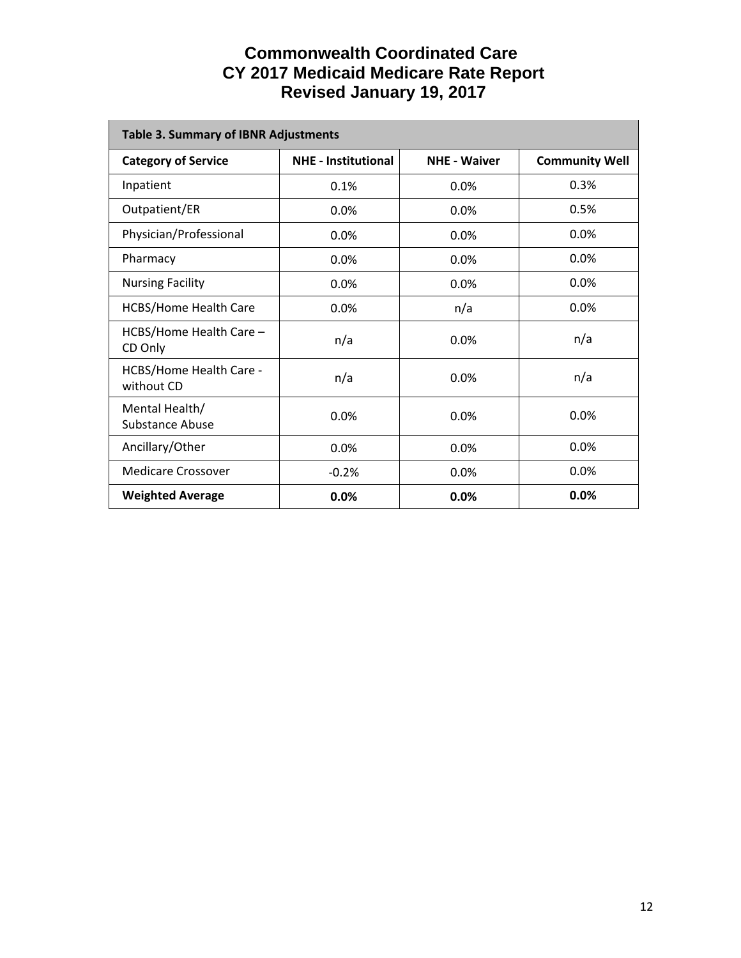| <b>Table 3. Summary of IBNR Adjustments</b> |                            |                     |                       |  |  |  |
|---------------------------------------------|----------------------------|---------------------|-----------------------|--|--|--|
| <b>Category of Service</b>                  | <b>NHE - Institutional</b> | <b>NHE - Waiver</b> | <b>Community Well</b> |  |  |  |
| Inpatient                                   | 0.1%                       | 0.0%                | 0.3%                  |  |  |  |
| Outpatient/ER                               | 0.0%                       | 0.0%                | 0.5%                  |  |  |  |
| Physician/Professional                      | 0.0%                       | 0.0%                | 0.0%                  |  |  |  |
| Pharmacy                                    | 0.0%                       | 0.0%                | 0.0%                  |  |  |  |
| <b>Nursing Facility</b>                     | 0.0%                       | 0.0%                | 0.0%                  |  |  |  |
| <b>HCBS/Home Health Care</b>                | 0.0%                       | n/a                 | 0.0%                  |  |  |  |
| HCBS/Home Health Care -<br>CD Only          | n/a                        | 0.0%                | n/a                   |  |  |  |
| HCBS/Home Health Care -<br>without CD       | n/a                        | 0.0%                | n/a                   |  |  |  |
| Mental Health/<br>Substance Abuse           | 0.0%                       | 0.0%                | 0.0%                  |  |  |  |
| Ancillary/Other                             | 0.0%                       | 0.0%                | 0.0%                  |  |  |  |
| Medicare Crossover                          | $-0.2%$                    | 0.0%                | 0.0%                  |  |  |  |
| <b>Weighted Average</b>                     | 0.0%                       | 0.0%                | 0.0%                  |  |  |  |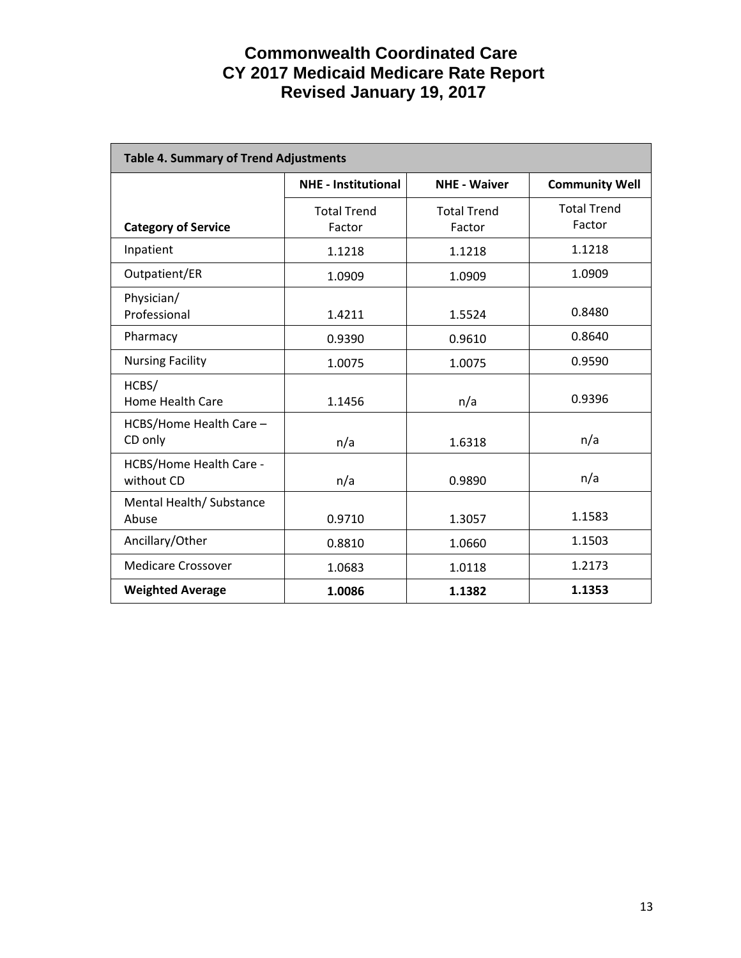| <b>Table 4. Summary of Trend Adjustments</b> |                              |                              |                              |  |  |  |
|----------------------------------------------|------------------------------|------------------------------|------------------------------|--|--|--|
|                                              | <b>NHE - Institutional</b>   | <b>NHE - Waiver</b>          | <b>Community Well</b>        |  |  |  |
| <b>Category of Service</b>                   | <b>Total Trend</b><br>Factor | <b>Total Trend</b><br>Factor | <b>Total Trend</b><br>Factor |  |  |  |
| Inpatient                                    | 1.1218                       | 1.1218                       | 1.1218                       |  |  |  |
| Outpatient/ER                                | 1.0909                       | 1.0909                       | 1.0909                       |  |  |  |
| Physician/<br>Professional                   | 1.4211                       | 1.5524                       | 0.8480                       |  |  |  |
| Pharmacy                                     | 0.9390                       | 0.9610                       | 0.8640                       |  |  |  |
| <b>Nursing Facility</b>                      | 1.0075                       | 1.0075                       | 0.9590                       |  |  |  |
| HCBS/<br><b>Home Health Care</b>             | 1.1456                       | n/a                          | 0.9396                       |  |  |  |
| HCBS/Home Health Care -<br>CD only           | n/a                          | 1.6318                       | n/a                          |  |  |  |
| HCBS/Home Health Care -<br>without CD        | n/a                          | 0.9890                       | n/a                          |  |  |  |
| Mental Health/ Substance<br>Abuse            | 0.9710                       | 1.3057                       | 1.1583                       |  |  |  |
| Ancillary/Other                              | 0.8810                       | 1.0660                       | 1.1503                       |  |  |  |
| Medicare Crossover                           | 1.0683                       | 1.0118                       | 1.2173                       |  |  |  |
| <b>Weighted Average</b>                      | 1.0086                       | 1.1382                       | 1.1353                       |  |  |  |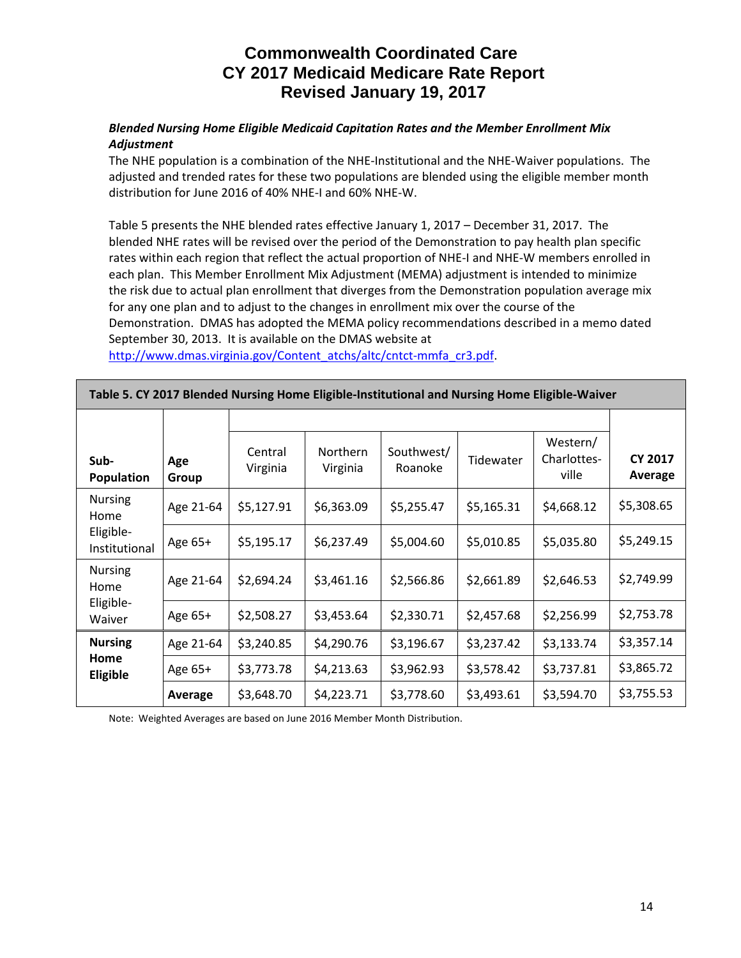#### *Blended Nursing Home Eligible Medicaid Capitation Rates and the Member Enrollment Mix Adjustment*

The NHE population is a combination of the NHE‐Institutional and the NHE‐Waiver populations. The adjusted and trended rates for these two populations are blended using the eligible member month distribution for June 2016 of 40% NHE‐I and 60% NHE‐W.

Table 5 presents the NHE blended rates effective January 1, 2017 – December 31, 2017. The blended NHE rates will be revised over the period of the Demonstration to pay health plan specific rates within each region that reflect the actual proportion of NHE-I and NHE-W members enrolled in each plan. This Member Enrollment Mix Adjustment (MEMA) adjustment is intended to minimize the risk due to actual plan enrollment that diverges from the Demonstration population average mix for any one plan and to adjust to the changes in enrollment mix over the course of the Demonstration. DMAS has adopted the MEMA policy recommendations described in a memo dated September 30, 2013. It is available on the DMAS website at

http://www.dmas.virginia.gov/Content\_atchs/altc/cntct-mmfa\_cr3.pdf.

| Table 5. CT 2017 Blended Nursing Home Eligible-Institutional and Nursing Home Eligible-Walver |              |                     |                             |                       |            |                                  |                           |
|-----------------------------------------------------------------------------------------------|--------------|---------------------|-----------------------------|-----------------------|------------|----------------------------------|---------------------------|
|                                                                                               |              |                     |                             |                       |            |                                  |                           |
| Sub-<br>Population                                                                            | Age<br>Group | Central<br>Virginia | <b>Northern</b><br>Virginia | Southwest/<br>Roanoke | Tidewater  | Western/<br>Charlottes-<br>ville | <b>CY 2017</b><br>Average |
| <b>Nursing</b><br>Home                                                                        | Age 21-64    | \$5,127.91          | \$6,363.09                  | \$5,255.47            | \$5,165.31 | \$4,668.12                       | \$5,308.65                |
| Eligible-<br>Institutional                                                                    | Age 65+      | \$5,195.17          | \$6,237.49                  | \$5,004.60            | \$5,010.85 | \$5,035.80                       | \$5,249.15                |
| <b>Nursing</b><br>Home<br>Eligible-<br>Waiver                                                 | Age 21-64    | \$2,694.24          | \$3,461.16                  | \$2,566.86            | \$2,661.89 | \$2,646.53                       | \$2,749.99                |
|                                                                                               | Age 65+      | \$2,508.27          | \$3,453.64                  | \$2,330.71            | \$2,457.68 | \$2,256.99                       | \$2,753.78                |
| <b>Nursing</b>                                                                                | Age 21-64    | \$3,240.85          | \$4,290.76                  | \$3,196.67            | \$3,237.42 | \$3,133.74                       | \$3,357.14                |
| Home<br><b>Eligible</b>                                                                       | Age 65+      | \$3,773.78          | \$4,213.63                  | \$3,962.93            | \$3,578.42 | \$3,737.81                       | \$3,865.72                |
|                                                                                               | Average      | \$3,648.70          | \$4,223.71                  | \$3,778.60            | \$3,493.61 | \$3,594.70                       | \$3,755.53                |

**Table 5. CY 2017 Blended Nursing Home Eligible‐Institutional and Nursing Home Eligible‐Waiver**

Note: Weighted Averages are based on June 2016 Member Month Distribution.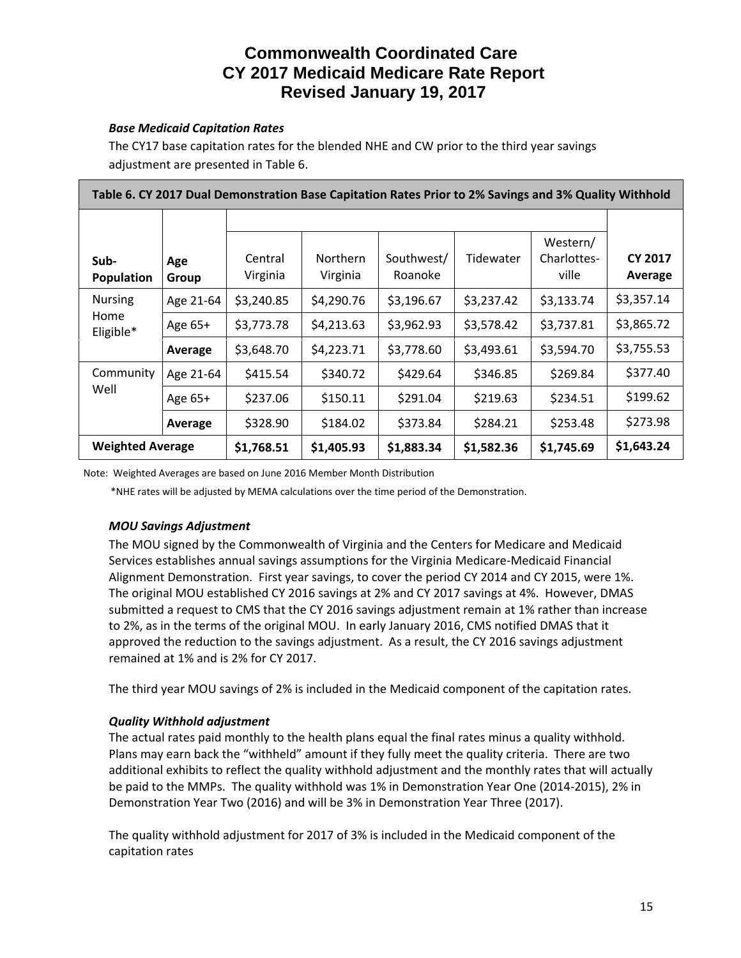#### *Base Medicaid Capitation Rates*

The CY17 base capitation rates for the blended NHE and CW prior to the third year savings adjustment are presented in Table 6.

| Table 6. CY 2017 Dual Demonstration Base Capitation Rates Prior to 2% Savings and 3% Quality Withhold |              |                     |                             |                       |            |                                  |                           |
|-------------------------------------------------------------------------------------------------------|--------------|---------------------|-----------------------------|-----------------------|------------|----------------------------------|---------------------------|
|                                                                                                       |              |                     |                             |                       |            |                                  |                           |
| Sub-<br><b>Population</b>                                                                             | Age<br>Group | Central<br>Virginia | <b>Northern</b><br>Virginia | Southwest/<br>Roanoke | Tidewater  | Western/<br>Charlottes-<br>ville | <b>CY 2017</b><br>Average |
| <b>Nursing</b>                                                                                        | Age 21-64    | \$3,240.85          | \$4,290.76                  | \$3,196.67            | \$3,237.42 | \$3,133.74                       | \$3,357.14                |
| Home<br>Eligible*                                                                                     | Age 65+      | \$3,773.78          | \$4,213.63                  | \$3,962.93            | \$3,578.42 | \$3,737.81                       | \$3,865.72                |
|                                                                                                       | Average      | \$3,648.70          | \$4,223.71                  | \$3,778.60            | \$3,493.61 | \$3,594.70                       | \$3,755.53                |
| Community                                                                                             | Age 21-64    | \$415.54            | \$340.72                    | \$429.64              | \$346.85   | \$269.84                         | \$377.40                  |
| Well                                                                                                  | Age 65+      | \$237.06            | \$150.11                    | \$291.04              | \$219.63   | \$234.51                         | \$199.62                  |
|                                                                                                       | Average      | \$328.90            | \$184.02                    | \$373.84              | \$284.21   | \$253.48                         | \$273.98                  |
| <b>Weighted Average</b>                                                                               |              | \$1,768.51          | \$1,405.93                  | \$1,883.34            | \$1,582.36 | \$1,745.69                       | \$1,643.24                |

Note: Weighted Averages are based on June 2016 Member Month Distribution

\*NHE rates will be adjusted by MEMA calculations over the time period of the Demonstration.

### *MOU Savings Adjustment*

The MOU signed by the Commonwealth of Virginia and the Centers for Medicare and Medicaid Services establishes annual savings assumptions for the Virginia Medicare‐Medicaid Financial Alignment Demonstration. First year savings, to cover the period CY 2014 and CY 2015, were 1%. The original MOU established CY 2016 savings at 2% and CY 2017 savings at 4%. However, DMAS submitted a request to CMS that the CY 2016 savings adjustment remain at 1% rather than increase to 2%, as in the terms of the original MOU. In early January 2016, CMS notified DMAS that it approved the reduction to the savings adjustment. As a result, the CY 2016 savings adjustment remained at 1% and is 2% for CY 2017.

The third year MOU savings of 2% is included in the Medicaid component of the capitation rates.

### *Quality Withhold adjustment*

The actual rates paid monthly to the health plans equal the final rates minus a quality withhold. Plans may earn back the "withheld" amount if they fully meet the quality criteria. There are two additional exhibits to reflect the quality withhold adjustment and the monthly rates that will actually be paid to the MMPs. The quality withhold was 1% in Demonstration Year One (2014‐2015), 2% in Demonstration Year Two (2016) and will be 3% in Demonstration Year Three (2017).

The quality withhold adjustment for 2017 of 3% is included in the Medicaid component of the capitation rates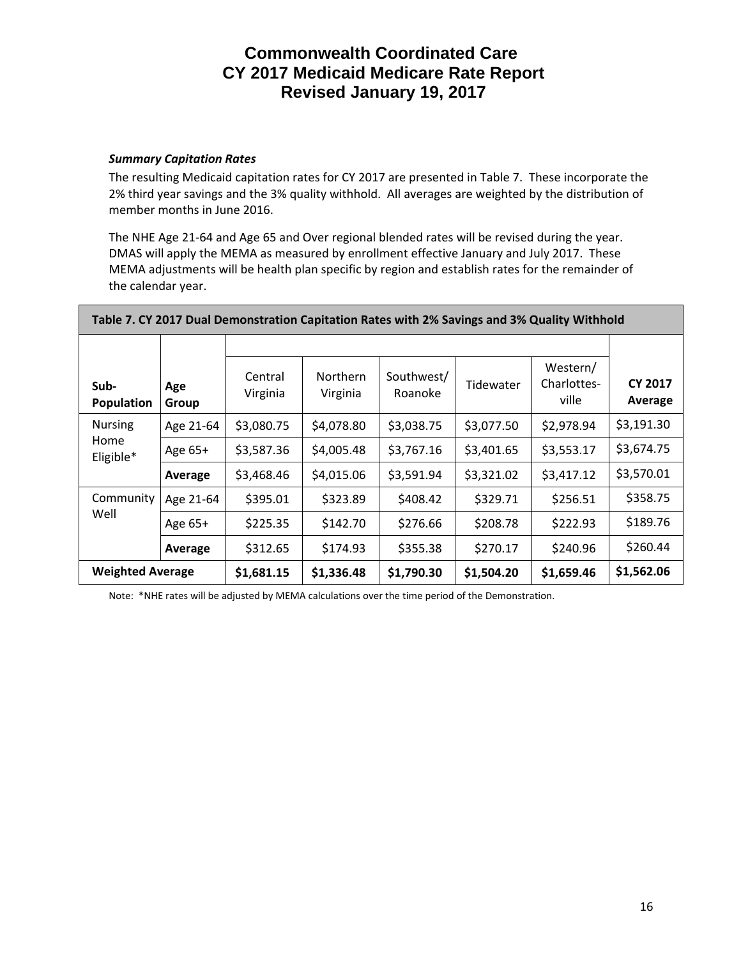#### *Summary Capitation Rates*

The resulting Medicaid capitation rates for CY 2017 are presented in Table 7. These incorporate the 2% third year savings and the 3% quality withhold. All averages are weighted by the distribution of member months in June 2016.

The NHE Age 21‐64 and Age 65 and Over regional blended rates will be revised during the year. DMAS will apply the MEMA as measured by enrollment effective January and July 2017. These MEMA adjustments will be health plan specific by region and establish rates for the remainder of the calendar year.

| Table 7. CY 2017 Dual Demonstration Capitation Rates with 2% Savings and 3% Quality Withhold |  |  |  |  |  |  |
|----------------------------------------------------------------------------------------------|--|--|--|--|--|--|
|                                                                                              |  |  |  |  |  |  |

| Sub-<br>Population      | Age<br>Group | Central<br>Virginia | <b>Northern</b><br>Virginia | Southwest/<br>Roanoke | Tidewater  | Western/<br>Charlottes-<br>ville | <b>CY 2017</b><br>Average |
|-------------------------|--------------|---------------------|-----------------------------|-----------------------|------------|----------------------------------|---------------------------|
| <b>Nursing</b>          | Age 21-64    | \$3,080.75          | \$4,078.80                  | \$3,038.75            | \$3,077.50 | \$2,978.94                       | \$3,191.30                |
| Home<br>Eligible*       | Age 65+      | \$3,587.36          | \$4,005.48                  | \$3,767.16            | \$3,401.65 | \$3,553.17                       | \$3,674.75                |
|                         | Average      | \$3,468.46          | \$4,015.06                  | \$3,591.94            | \$3,321.02 | \$3,417.12                       | \$3,570.01                |
| Community               | Age 21-64    | \$395.01            | \$323.89                    | \$408.42              | \$329.71   | \$256.51                         | \$358.75                  |
| Well                    | Age 65+      | \$225.35            | \$142.70                    | \$276.66              | \$208.78   | \$222.93                         | \$189.76                  |
|                         | Average      | \$312.65            | \$174.93                    | \$355.38              | \$270.17   | \$240.96                         | \$260.44                  |
| <b>Weighted Average</b> |              | \$1,681.15          | \$1,336.48                  | \$1,790.30            | \$1,504.20 | \$1,659.46                       | \$1,562.06                |

Note: \*NHE rates will be adjusted by MEMA calculations over the time period of the Demonstration.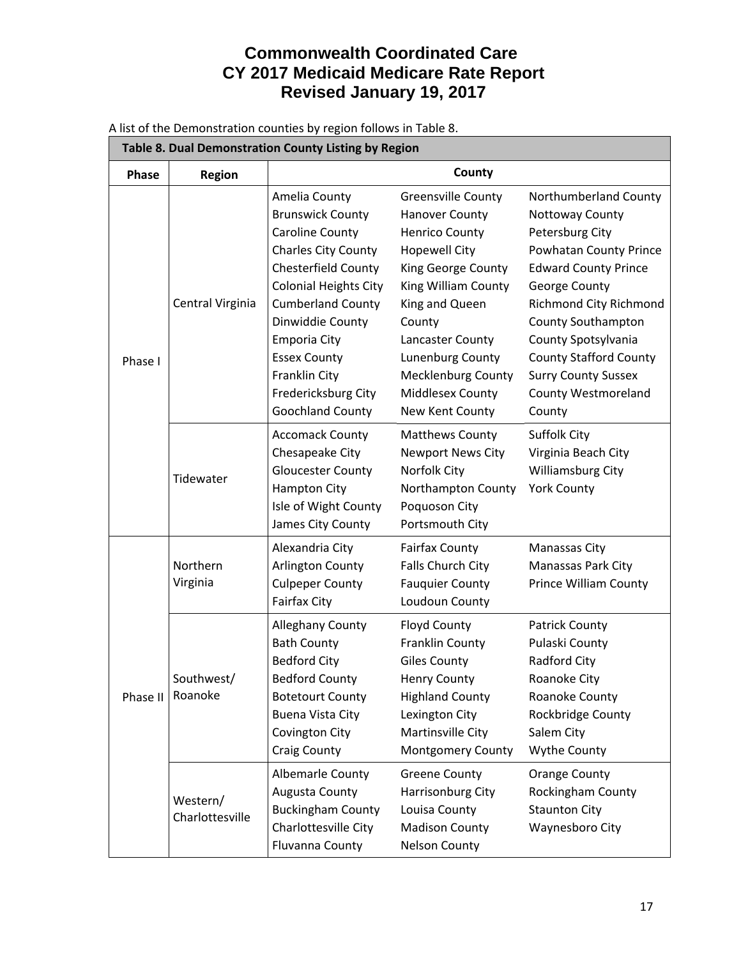| Table 8. Dual Demonstration County Listing by Region |                             |                                                                                                                                                                                                                                                                                                                                 |                                                                                                                                                                                                                                                                                          |                                                                                                                                                                                                                                                                                                              |  |  |
|------------------------------------------------------|-----------------------------|---------------------------------------------------------------------------------------------------------------------------------------------------------------------------------------------------------------------------------------------------------------------------------------------------------------------------------|------------------------------------------------------------------------------------------------------------------------------------------------------------------------------------------------------------------------------------------------------------------------------------------|--------------------------------------------------------------------------------------------------------------------------------------------------------------------------------------------------------------------------------------------------------------------------------------------------------------|--|--|
| Phase                                                | Region                      |                                                                                                                                                                                                                                                                                                                                 | County                                                                                                                                                                                                                                                                                   |                                                                                                                                                                                                                                                                                                              |  |  |
| Phase I                                              | Central Virginia            | Amelia County<br><b>Brunswick County</b><br><b>Caroline County</b><br><b>Charles City County</b><br><b>Chesterfield County</b><br><b>Colonial Heights City</b><br><b>Cumberland County</b><br>Dinwiddie County<br><b>Emporia City</b><br><b>Essex County</b><br>Franklin City<br>Fredericksburg City<br><b>Goochland County</b> | <b>Greensville County</b><br><b>Hanover County</b><br><b>Henrico County</b><br><b>Hopewell City</b><br>King George County<br>King William County<br>King and Queen<br>County<br>Lancaster County<br>Lunenburg County<br><b>Mecklenburg County</b><br>Middlesex County<br>New Kent County | Northumberland County<br>Nottoway County<br>Petersburg City<br>Powhatan County Prince<br><b>Edward County Prince</b><br>George County<br>Richmond City Richmond<br>County Southampton<br>County Spotsylvania<br><b>County Stafford County</b><br><b>Surry County Sussex</b><br>County Westmoreland<br>County |  |  |
|                                                      | Tidewater                   | <b>Accomack County</b><br>Chesapeake City<br><b>Gloucester County</b><br><b>Hampton City</b><br>Isle of Wight County<br>James City County                                                                                                                                                                                       | <b>Matthews County</b><br><b>Newport News City</b><br>Norfolk City<br>Northampton County<br>Poquoson City<br>Portsmouth City                                                                                                                                                             | <b>Suffolk City</b><br>Virginia Beach City<br>Williamsburg City<br><b>York County</b>                                                                                                                                                                                                                        |  |  |
|                                                      | Northern<br>Virginia        | Alexandria City<br><b>Arlington County</b><br><b>Culpeper County</b><br><b>Fairfax City</b>                                                                                                                                                                                                                                     | <b>Fairfax County</b><br>Falls Church City<br><b>Fauquier County</b><br>Loudoun County                                                                                                                                                                                                   | <b>Manassas City</b><br>Manassas Park City<br><b>Prince William County</b>                                                                                                                                                                                                                                   |  |  |
| Phase II                                             | Southwest/<br>Roanoke       | <b>Alleghany County</b><br><b>Bath County</b><br><b>Bedford City</b><br><b>Bedford County</b><br><b>Botetourt County</b><br><b>Buena Vista City</b><br>Covington City<br><b>Craig County</b>                                                                                                                                    | Floyd County<br>Franklin County<br><b>Giles County</b><br><b>Henry County</b><br><b>Highland County</b><br>Lexington City<br>Martinsville City<br>Montgomery County                                                                                                                      | <b>Patrick County</b><br>Pulaski County<br>Radford City<br>Roanoke City<br>Roanoke County<br>Rockbridge County<br>Salem City<br>Wythe County                                                                                                                                                                 |  |  |
|                                                      | Western/<br>Charlottesville | Albemarle County<br>Augusta County<br><b>Buckingham County</b><br>Charlottesville City<br>Fluvanna County                                                                                                                                                                                                                       | <b>Greene County</b><br>Harrisonburg City<br>Louisa County<br><b>Madison County</b><br><b>Nelson County</b>                                                                                                                                                                              | <b>Orange County</b><br>Rockingham County<br><b>Staunton City</b><br>Waynesboro City                                                                                                                                                                                                                         |  |  |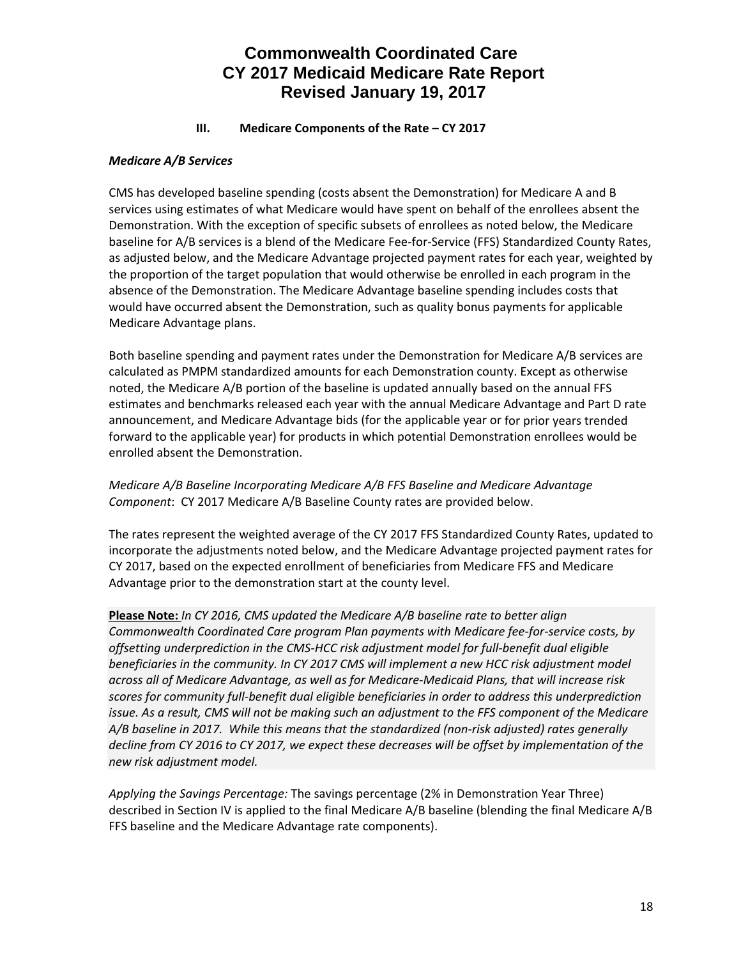#### **III. Medicare Components of the Rate – CY 2017**

#### *Medicare A/B Services*

CMS has developed baseline spending (costs absent the Demonstration) for Medicare A and B services using estimates of what Medicare would have spent on behalf of the enrollees absent the Demonstration. With the exception of specific subsets of enrollees as noted below, the Medicare baseline for A/B services is a blend of the Medicare Fee‐for‐Service (FFS) Standardized County Rates, as adjusted below, and the Medicare Advantage projected payment rates for each year, weighted by the proportion of the target population that would otherwise be enrolled in each program in the absence of the Demonstration. The Medicare Advantage baseline spending includes costs that would have occurred absent the Demonstration, such as quality bonus payments for applicable Medicare Advantage plans.

Both baseline spending and payment rates under the Demonstration for Medicare A/B services are calculated as PMPM standardized amounts for each Demonstration county. Except as otherwise noted, the Medicare A/B portion of the baseline is updated annually based on the annual FFS estimates and benchmarks released each year with the annual Medicare Advantage and Part D rate announcement, and Medicare Advantage bids (for the applicable year or for prior years trended forward to the applicable year) for products in which potential Demonstration enrollees would be enrolled absent the Demonstration.

### *Medicare A/B Baseline Incorporating Medicare A/B FFS Baseline and Medicare Advantage Component*: CY 2017 Medicare A/B Baseline County rates are provided below.

The rates represent the weighted average of the CY 2017 FFS Standardized County Rates, updated to incorporate the adjustments noted below, and the Medicare Advantage projected payment rates for CY 2017, based on the expected enrollment of beneficiaries from Medicare FFS and Medicare Advantage prior to the demonstration start at the county level.

**Please Note:** *In CY 2016, CMS updated the Medicare A/B baseline rate to better align Commonwealth Coordinated Care program Plan payments with Medicare fee‐for‐service costs, by offsetting underprediction in the CMS‐HCC risk adjustment model for full‐benefit dual eligible beneficiaries in the community. In CY 2017 CMS will implement a new HCC risk adjustment model across all of Medicare Advantage, as well as for Medicare‐Medicaid Plans, that will increase risk scores for community full‐benefit dual eligible beneficiaries in order to address this underprediction* issue. As a result, CMS will not be making such an adjustment to the FFS component of the Medicare *A/B baseline in 2017. While this means that the standardized (non‐risk adjusted) rates generally decline from CY 2016 to CY 2017, we expect these decreases will be offset by implementation of the new risk adjustment model.*

*Applying the Savings Percentage:* The savings percentage (2% in Demonstration Year Three) described in Section IV is applied to the final Medicare A/B baseline (blending the final Medicare A/B FFS baseline and the Medicare Advantage rate components).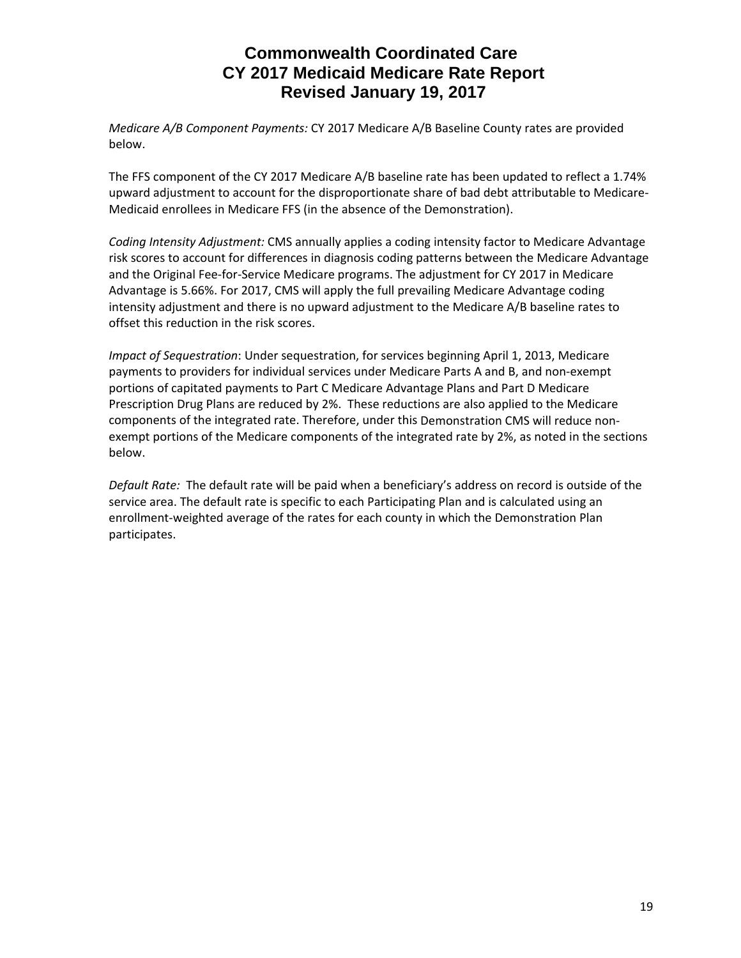*Medicare A/B Component Payments:* CY 2017 Medicare A/B Baseline County rates are provided below.

The FFS component of the CY 2017 Medicare A/B baseline rate has been updated to reflect a 1.74% upward adjustment to account for the disproportionate share of bad debt attributable to Medicare‐ Medicaid enrollees in Medicare FFS (in the absence of the Demonstration).

*Coding Intensity Adjustment:* CMS annually applies a coding intensity factor to Medicare Advantage risk scores to account for differences in diagnosis coding patterns between the Medicare Advantage and the Original Fee‐for‐Service Medicare programs. The adjustment for CY 2017 in Medicare Advantage is 5.66%. For 2017, CMS will apply the full prevailing Medicare Advantage coding intensity adjustment and there is no upward adjustment to the Medicare A/B baseline rates to offset this reduction in the risk scores.

*Impact of Sequestration*: Under sequestration, for services beginning April 1, 2013, Medicare payments to providers for individual services under Medicare Parts A and B, and non‐exempt portions of capitated payments to Part C Medicare Advantage Plans and Part D Medicare Prescription Drug Plans are reduced by 2%. These reductions are also applied to the Medicare components of the integrated rate. Therefore, under this Demonstration CMS will reduce non‐ exempt portions of the Medicare components of the integrated rate by 2%, as noted in the sections below.

*Default Rate:* The default rate will be paid when a beneficiary's address on record is outside of the service area. The default rate is specific to each Participating Plan and is calculated using an enrollment‐weighted average of the rates for each county in which the Demonstration Plan participates.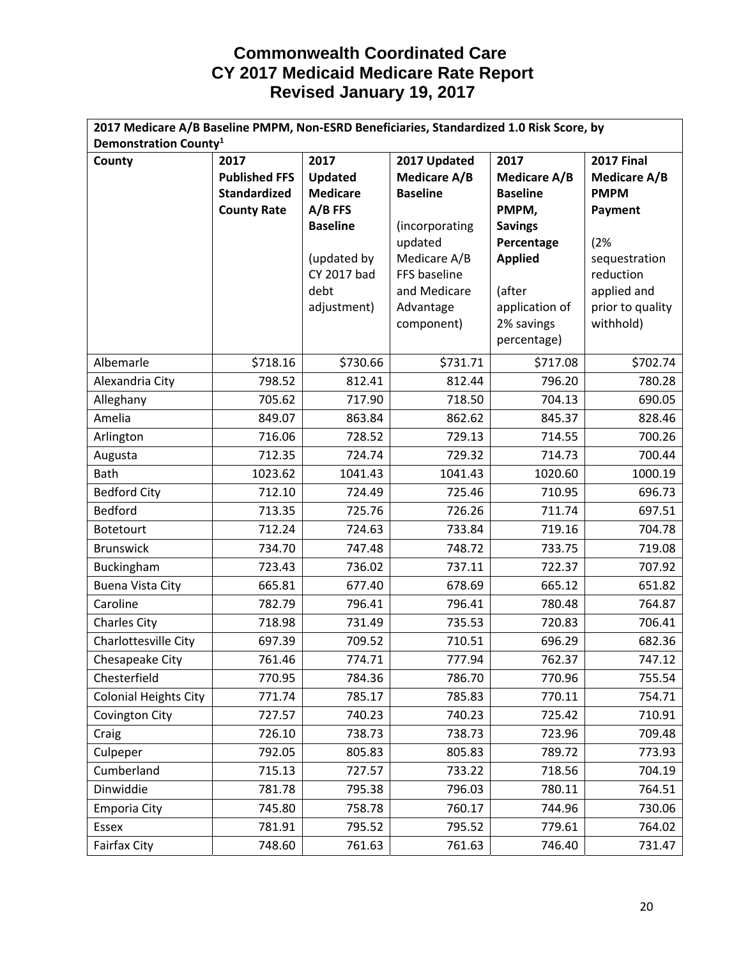| 2017 Medicare A/B Baseline PMPM, Non-ESRD Beneficiaries, Standardized 1.0 Risk Score, by |                      |                 |                     |                     |                     |
|------------------------------------------------------------------------------------------|----------------------|-----------------|---------------------|---------------------|---------------------|
| Demonstration County <sup>1</sup>                                                        |                      |                 |                     |                     |                     |
| County                                                                                   | 2017                 | 2017            | 2017 Updated        | 2017                | <b>2017 Final</b>   |
|                                                                                          | <b>Published FFS</b> | <b>Updated</b>  | <b>Medicare A/B</b> | <b>Medicare A/B</b> | <b>Medicare A/B</b> |
|                                                                                          | <b>Standardized</b>  | <b>Medicare</b> | <b>Baseline</b>     | <b>Baseline</b>     | <b>PMPM</b>         |
|                                                                                          | <b>County Rate</b>   | A/B FFS         |                     | PMPM,               | Payment             |
|                                                                                          |                      | <b>Baseline</b> | (incorporating      | <b>Savings</b>      |                     |
|                                                                                          |                      |                 | updated             | Percentage          | (2%                 |
|                                                                                          |                      | (updated by     | Medicare A/B        | <b>Applied</b>      | sequestration       |
|                                                                                          |                      | CY 2017 bad     | FFS baseline        |                     | reduction           |
|                                                                                          |                      | debt            | and Medicare        | (after              | applied and         |
|                                                                                          |                      | adjustment)     | Advantage           | application of      | prior to quality    |
|                                                                                          |                      |                 | component)          | 2% savings          | withhold)           |
|                                                                                          |                      |                 |                     | percentage)         |                     |
| Albemarle                                                                                | \$718.16             | \$730.66        | \$731.71            | \$717.08            | \$702.74            |
| Alexandria City                                                                          | 798.52               | 812.41          | 812.44              | 796.20              | 780.28              |
| Alleghany                                                                                | 705.62               | 717.90          | 718.50              | 704.13              | 690.05              |
| Amelia                                                                                   | 849.07               | 863.84          | 862.62              | 845.37              | 828.46              |
| Arlington                                                                                | 716.06               | 728.52          | 729.13              | 714.55              | 700.26              |
| Augusta                                                                                  | 712.35               | 724.74          | 729.32              | 714.73              | 700.44              |
| Bath                                                                                     | 1023.62              | 1041.43         | 1041.43             | 1020.60             | 1000.19             |
| <b>Bedford City</b>                                                                      | 712.10               | 724.49          | 725.46              | 710.95              | 696.73              |
| Bedford                                                                                  | 713.35               | 725.76          | 726.26              | 711.74              | 697.51              |
| Botetourt                                                                                | 712.24               | 724.63          | 733.84              | 719.16              | 704.78              |
| <b>Brunswick</b>                                                                         | 734.70               | 747.48          | 748.72              | 733.75              | 719.08              |
| Buckingham                                                                               | 723.43               | 736.02          | 737.11              | 722.37              | 707.92              |
| <b>Buena Vista City</b>                                                                  | 665.81               | 677.40          | 678.69              | 665.12              | 651.82              |
| Caroline                                                                                 | 782.79               | 796.41          | 796.41              | 780.48              | 764.87              |
| <b>Charles City</b>                                                                      | 718.98               | 731.49          | 735.53              | 720.83              | 706.41              |
| Charlottesville City                                                                     | 697.39               | 709.52          | 710.51              | 696.29              | 682.36              |
| Chesapeake City                                                                          | 761.46               | 774.71          | 777.94              | 762.37              | 747.12              |
| Chesterfield                                                                             | 770.95               | 784.36          | 786.70              | 770.96              | 755.54              |
| <b>Colonial Heights City</b>                                                             | 771.74               | 785.17          | 785.83              | 770.11              | 754.71              |
| Covington City                                                                           | 727.57               | 740.23          | 740.23              | 725.42              | 710.91              |
| Craig                                                                                    | 726.10               | 738.73          | 738.73              | 723.96              | 709.48              |
| Culpeper                                                                                 | 792.05               | 805.83          | 805.83              | 789.72              | 773.93              |
| Cumberland                                                                               | 715.13               | 727.57          | 733.22              | 718.56              | 704.19              |
| Dinwiddie                                                                                | 781.78               | 795.38          | 796.03              | 780.11              | 764.51              |
| <b>Emporia City</b>                                                                      | 745.80               | 758.78          | 760.17              | 744.96              | 730.06              |
| Essex                                                                                    | 781.91               | 795.52          | 795.52              | 779.61              | 764.02              |
| Fairfax City                                                                             | 748.60               | 761.63          | 761.63              | 746.40              | 731.47              |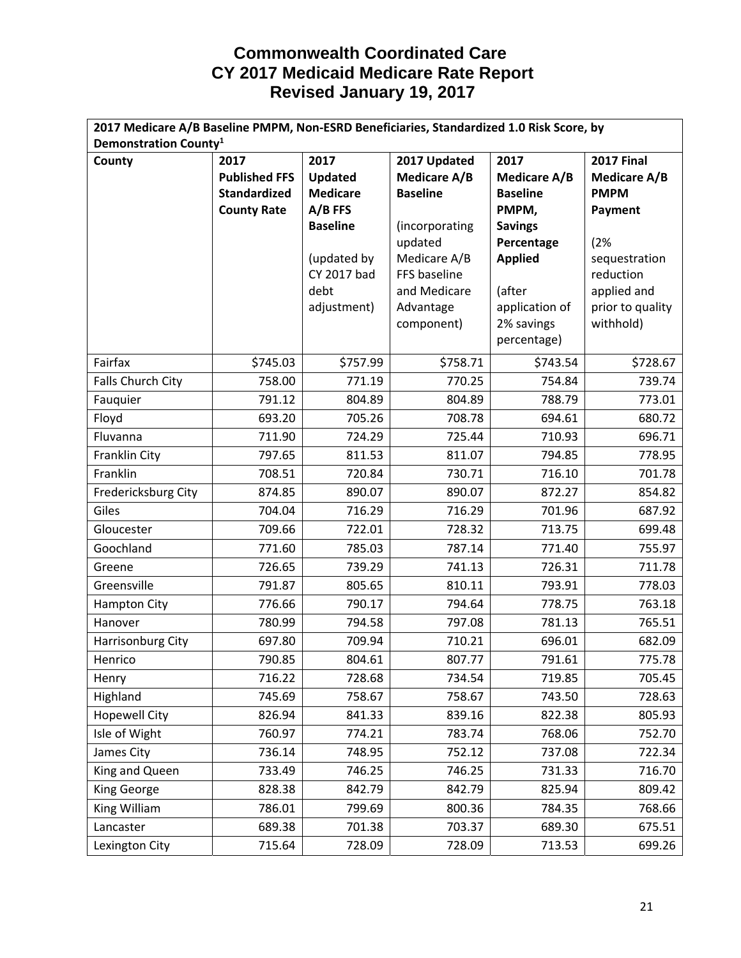| 2017 Medicare A/B Baseline PMPM, Non-ESRD Beneficiaries, Standardized 1.0 Risk Score, by |                      |                 |                     |                     |                     |
|------------------------------------------------------------------------------------------|----------------------|-----------------|---------------------|---------------------|---------------------|
| Demonstration County <sup>1</sup>                                                        |                      |                 |                     |                     |                     |
| County                                                                                   | 2017                 | 2017            | 2017 Updated        | 2017                | <b>2017 Final</b>   |
|                                                                                          | <b>Published FFS</b> | <b>Updated</b>  | <b>Medicare A/B</b> | <b>Medicare A/B</b> | <b>Medicare A/B</b> |
|                                                                                          | <b>Standardized</b>  | <b>Medicare</b> | <b>Baseline</b>     | <b>Baseline</b>     | <b>PMPM</b>         |
|                                                                                          | <b>County Rate</b>   | A/B FFS         |                     | PMPM,               | Payment             |
|                                                                                          |                      | <b>Baseline</b> | (incorporating      | <b>Savings</b>      |                     |
|                                                                                          |                      |                 | updated             | Percentage          | (2%                 |
|                                                                                          |                      | (updated by     | Medicare A/B        | <b>Applied</b>      | sequestration       |
|                                                                                          |                      | CY 2017 bad     | FFS baseline        |                     | reduction           |
|                                                                                          |                      | debt            | and Medicare        | (after              | applied and         |
|                                                                                          |                      | adjustment)     | Advantage           | application of      | prior to quality    |
|                                                                                          |                      |                 | component)          | 2% savings          | withhold)           |
|                                                                                          |                      |                 |                     | percentage)         |                     |
| Fairfax                                                                                  | \$745.03             | \$757.99        | \$758.71            | \$743.54            | \$728.67            |
| Falls Church City                                                                        | 758.00               | 771.19          | 770.25              | 754.84              | 739.74              |
| Fauquier                                                                                 | 791.12               | 804.89          | 804.89              | 788.79              | 773.01              |
| Floyd                                                                                    | 693.20               | 705.26          | 708.78              | 694.61              | 680.72              |
| Fluvanna                                                                                 | 711.90               | 724.29          | 725.44              | 710.93              | 696.71              |
| Franklin City                                                                            | 797.65               | 811.53          | 811.07              | 794.85              | 778.95              |
| Franklin                                                                                 | 708.51               | 720.84          | 730.71              | 716.10              | 701.78              |
| Fredericksburg City                                                                      | 874.85               | 890.07          | 890.07              | 872.27              | 854.82              |
| Giles                                                                                    | 704.04               | 716.29          | 716.29              | 701.96              | 687.92              |
| Gloucester                                                                               | 709.66               | 722.01          | 728.32              | 713.75              | 699.48              |
| Goochland                                                                                | 771.60               | 785.03          | 787.14              | 771.40              | 755.97              |
| Greene                                                                                   | 726.65               | 739.29          | 741.13              | 726.31              | 711.78              |
| Greensville                                                                              | 791.87               | 805.65          | 810.11              | 793.91              | 778.03              |
| <b>Hampton City</b>                                                                      | 776.66               | 790.17          | 794.64              | 778.75              | 763.18              |
| Hanover                                                                                  | 780.99               | 794.58          | 797.08              | 781.13              | 765.51              |
| Harrisonburg City                                                                        | 697.80               | 709.94          | 710.21              | 696.01              | 682.09              |
| Henrico                                                                                  | 790.85               | 804.61          | 807.77              | 791.61              | 775.78              |
| Henry                                                                                    | 716.22               | 728.68          | 734.54              | 719.85              | 705.45              |
| Highland                                                                                 | 745.69               | 758.67          | 758.67              | 743.50              | 728.63              |
| <b>Hopewell City</b>                                                                     | 826.94               | 841.33          | 839.16              | 822.38              | 805.93              |
| Isle of Wight                                                                            | 760.97               | 774.21          | 783.74              | 768.06              | 752.70              |
| James City                                                                               | 736.14               | 748.95          | 752.12              | 737.08              | 722.34              |
| King and Queen                                                                           | 733.49               | 746.25          | 746.25              | 731.33              | 716.70              |
| King George                                                                              | 828.38               | 842.79          | 842.79              | 825.94              | 809.42              |
| King William                                                                             | 786.01               | 799.69          | 800.36              | 784.35              | 768.66              |
| Lancaster                                                                                | 689.38               | 701.38          | 703.37              | 689.30              | 675.51              |
| Lexington City                                                                           | 715.64               | 728.09          | 728.09              | 713.53              | 699.26              |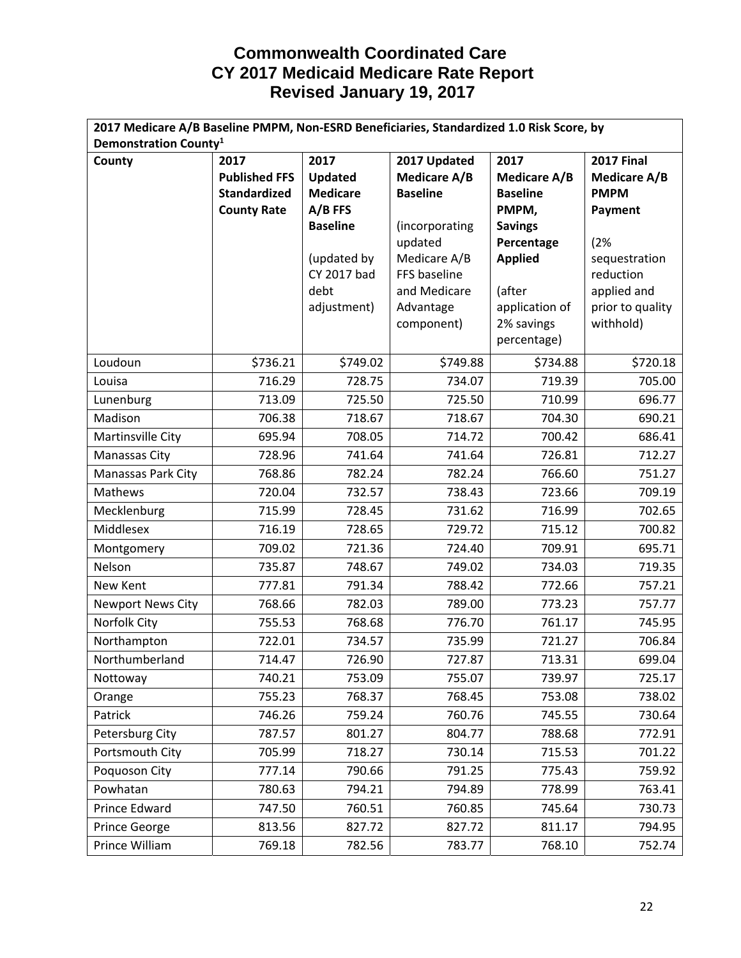| 2017 Medicare A/B Baseline PMPM, Non-ESRD Beneficiaries, Standardized 1.0 Risk Score, by |                      |                 |                     |                     |                     |
|------------------------------------------------------------------------------------------|----------------------|-----------------|---------------------|---------------------|---------------------|
| Demonstration County <sup>1</sup>                                                        |                      |                 |                     |                     |                     |
| County                                                                                   | 2017                 | 2017            | 2017 Updated        | 2017                | <b>2017 Final</b>   |
|                                                                                          | <b>Published FFS</b> | <b>Updated</b>  | <b>Medicare A/B</b> | <b>Medicare A/B</b> | <b>Medicare A/B</b> |
|                                                                                          | <b>Standardized</b>  | <b>Medicare</b> | <b>Baseline</b>     | <b>Baseline</b>     | <b>PMPM</b>         |
|                                                                                          | <b>County Rate</b>   | A/B FFS         |                     | PMPM,               | Payment             |
|                                                                                          |                      | <b>Baseline</b> | (incorporating      | <b>Savings</b>      |                     |
|                                                                                          |                      |                 | updated             | Percentage          | (2%                 |
|                                                                                          |                      | (updated by     | Medicare A/B        | <b>Applied</b>      | sequestration       |
|                                                                                          |                      | CY 2017 bad     | FFS baseline        |                     | reduction           |
|                                                                                          |                      | debt            | and Medicare        | (after              | applied and         |
|                                                                                          |                      | adjustment)     | Advantage           | application of      | prior to quality    |
|                                                                                          |                      |                 | component)          | 2% savings          | withhold)           |
|                                                                                          |                      |                 |                     | percentage)         |                     |
| Loudoun                                                                                  | \$736.21             | \$749.02        | \$749.88            | \$734.88            | \$720.18            |
| Louisa                                                                                   | 716.29               | 728.75          | 734.07              | 719.39              | 705.00              |
| Lunenburg                                                                                | 713.09               | 725.50          | 725.50              | 710.99              | 696.77              |
| Madison                                                                                  | 706.38               | 718.67          | 718.67              | 704.30              | 690.21              |
| Martinsville City                                                                        | 695.94               | 708.05          | 714.72              | 700.42              | 686.41              |
| Manassas City                                                                            | 728.96               | 741.64          | 741.64              | 726.81              | 712.27              |
| Manassas Park City                                                                       | 768.86               | 782.24          | 782.24              | 766.60              | 751.27              |
| Mathews                                                                                  | 720.04               | 732.57          | 738.43              | 723.66              | 709.19              |
| Mecklenburg                                                                              | 715.99               | 728.45          | 731.62              | 716.99              | 702.65              |
| Middlesex                                                                                | 716.19               | 728.65          | 729.72              | 715.12              | 700.82              |
| Montgomery                                                                               | 709.02               | 721.36          | 724.40              | 709.91              | 695.71              |
| Nelson                                                                                   | 735.87               | 748.67          | 749.02              | 734.03              | 719.35              |
| New Kent                                                                                 | 777.81               | 791.34          | 788.42              | 772.66              | 757.21              |
| <b>Newport News City</b>                                                                 | 768.66               | 782.03          | 789.00              | 773.23              | 757.77              |
| Norfolk City                                                                             | 755.53               | 768.68          | 776.70              | 761.17              | 745.95              |
| Northampton                                                                              | 722.01               | 734.57          | 735.99              | 721.27              | 706.84              |
| Northumberland                                                                           | 714.47               | 726.90          | 727.87              | 713.31              | 699.04              |
| Nottoway                                                                                 | 740.21               | 753.09          | 755.07              | 739.97              | 725.17              |
| Orange                                                                                   | 755.23               | 768.37          | 768.45              | 753.08              | 738.02              |
| Patrick                                                                                  | 746.26               | 759.24          | 760.76              | 745.55              | 730.64              |
| Petersburg City                                                                          | 787.57               | 801.27          | 804.77              | 788.68              | 772.91              |
| Portsmouth City                                                                          | 705.99               | 718.27          | 730.14              | 715.53              | 701.22              |
| Poquoson City                                                                            | 777.14               | 790.66          | 791.25              | 775.43              | 759.92              |
| Powhatan                                                                                 | 780.63               | 794.21          | 794.89              | 778.99              | 763.41              |
| Prince Edward                                                                            | 747.50               | 760.51          | 760.85              | 745.64              | 730.73              |
| Prince George                                                                            | 813.56               | 827.72          | 827.72              | 811.17              | 794.95              |
| Prince William                                                                           | 769.18               | 782.56          | 783.77              | 768.10              | 752.74              |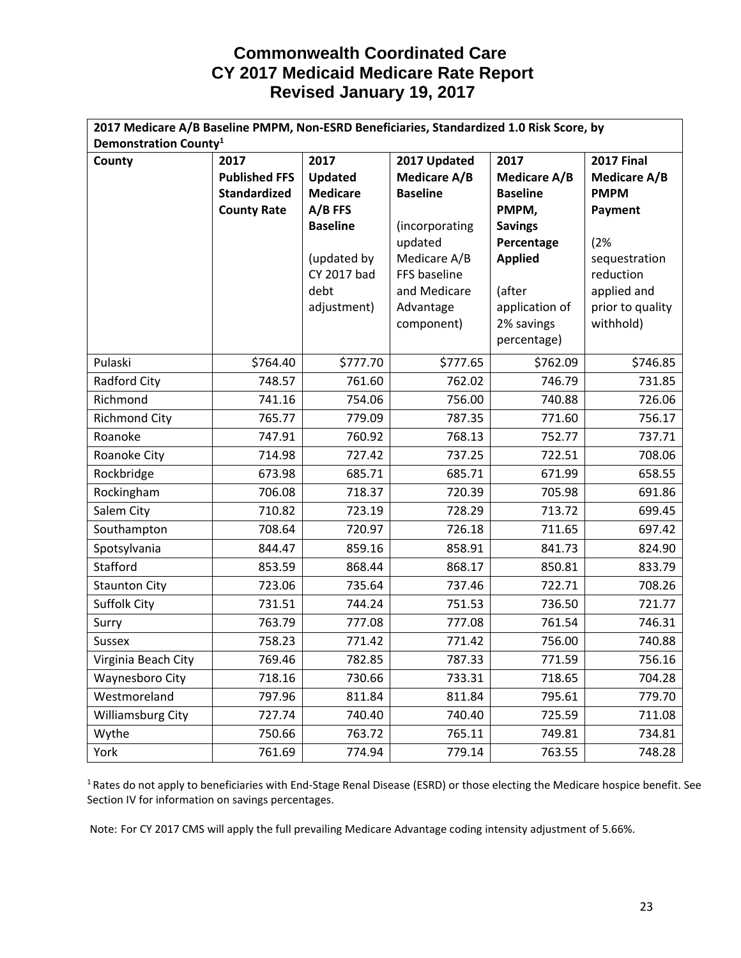| 2017 Medicare A/B Baseline PMPM, Non-ESRD Beneficiaries, Standardized 1.0 Risk Score, by |                      |                 |                     |                              |                               |
|------------------------------------------------------------------------------------------|----------------------|-----------------|---------------------|------------------------------|-------------------------------|
| Demonstration County <sup>1</sup>                                                        |                      |                 |                     |                              |                               |
| County                                                                                   | 2017                 | 2017            | 2017 Updated        | 2017                         | <b>2017 Final</b>             |
|                                                                                          | <b>Published FFS</b> | <b>Updated</b>  | <b>Medicare A/B</b> | <b>Medicare A/B</b>          | <b>Medicare A/B</b>           |
|                                                                                          | <b>Standardized</b>  | <b>Medicare</b> | <b>Baseline</b>     | <b>Baseline</b>              | <b>PMPM</b>                   |
|                                                                                          | <b>County Rate</b>   | $A/B$ FFS       |                     | PMPM,                        | Payment                       |
|                                                                                          |                      | <b>Baseline</b> | (incorporating      | <b>Savings</b>               |                               |
|                                                                                          |                      |                 | updated             | Percentage                   | (2%                           |
|                                                                                          |                      | (updated by     | Medicare A/B        | <b>Applied</b>               | sequestration                 |
|                                                                                          |                      | CY 2017 bad     | FFS baseline        |                              | reduction                     |
|                                                                                          |                      | debt            | and Medicare        | (after                       | applied and                   |
|                                                                                          |                      | adjustment)     | Advantage           | application of<br>2% savings | prior to quality<br>withhold) |
|                                                                                          |                      |                 | component)          | percentage)                  |                               |
|                                                                                          |                      |                 |                     |                              |                               |
| Pulaski                                                                                  | \$764.40             | \$777.70        | \$777.65            | \$762.09                     | \$746.85                      |
| Radford City                                                                             | 748.57               | 761.60          | 762.02              | 746.79                       | 731.85                        |
| Richmond                                                                                 | 741.16               | 754.06          | 756.00              | 740.88                       | 726.06                        |
| <b>Richmond City</b>                                                                     | 765.77               | 779.09          | 787.35              | 771.60                       | 756.17                        |
| Roanoke                                                                                  | 747.91               | 760.92          | 768.13              | 752.77                       | 737.71                        |
| Roanoke City                                                                             | 714.98               | 727.42          | 737.25              | 722.51                       | 708.06                        |
| Rockbridge                                                                               | 673.98               | 685.71          | 685.71              | 671.99                       | 658.55                        |
| Rockingham                                                                               | 706.08               | 718.37          | 720.39              | 705.98                       | 691.86                        |
| Salem City                                                                               | 710.82               | 723.19          | 728.29              | 713.72                       | 699.45                        |
| Southampton                                                                              | 708.64               | 720.97          | 726.18              | 711.65                       | 697.42                        |
| Spotsylvania                                                                             | 844.47               | 859.16          | 858.91              | 841.73                       | 824.90                        |
| Stafford                                                                                 | 853.59               | 868.44          | 868.17              | 850.81                       | 833.79                        |
| <b>Staunton City</b>                                                                     | 723.06               | 735.64          | 737.46              | 722.71                       | 708.26                        |
| Suffolk City                                                                             | 731.51               | 744.24          | 751.53              | 736.50                       | 721.77                        |
| Surry                                                                                    | 763.79               | 777.08          | 777.08              | 761.54                       | 746.31                        |
| <b>Sussex</b>                                                                            | 758.23               | 771.42          | 771.42              | 756.00                       | 740.88                        |
| Virginia Beach City                                                                      | 769.46               | 782.85          | 787.33              | 771.59                       | 756.16                        |
| Waynesboro City                                                                          | 718.16               | 730.66          | 733.31              | 718.65                       | 704.28                        |
| Westmoreland                                                                             | 797.96               | 811.84          | 811.84              | 795.61                       | 779.70                        |
| Williamsburg City                                                                        | 727.74               | 740.40          | 740.40              | 725.59                       | 711.08                        |
| Wythe                                                                                    | 750.66               | 763.72          | 765.11              | 749.81                       | 734.81                        |
| York                                                                                     | 761.69               | 774.94          | 779.14              | 763.55                       | 748.28                        |

<sup>1</sup> Rates do not apply to beneficiaries with End‐Stage Renal Disease (ESRD) or those electing the Medicare hospice benefit. See Section IV for information on savings percentages.

Note: For CY 2017 CMS will apply the full prevailing Medicare Advantage coding intensity adjustment of 5.66%.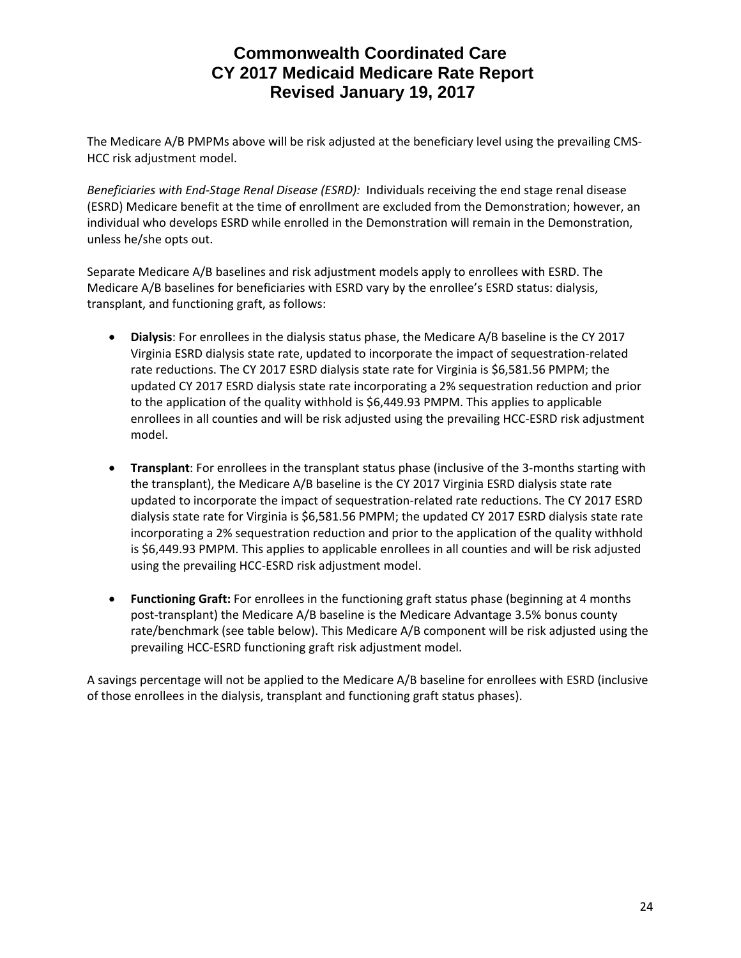The Medicare A/B PMPMs above will be risk adjusted at the beneficiary level using the prevailing CMS‐ HCC risk adjustment model.

*Beneficiaries with End‐Stage Renal Disease (ESRD):*Individuals receiving the end stage renal disease (ESRD) Medicare benefit at the time of enrollment are excluded from the Demonstration; however, an individual who develops ESRD while enrolled in the Demonstration will remain in the Demonstration, unless he/she opts out.

Separate Medicare A/B baselines and risk adjustment models apply to enrollees with ESRD. The Medicare A/B baselines for beneficiaries with ESRD vary by the enrollee's ESRD status: dialysis, transplant, and functioning graft, as follows:

- **Dialysis**: For enrollees in the dialysis status phase, the Medicare A/B baseline is the CY 2017 Virginia ESRD dialysis state rate, updated to incorporate the impact of sequestration‐related rate reductions. The CY 2017 ESRD dialysis state rate for Virginia is \$6,581.56 PMPM; the updated CY 2017 ESRD dialysis state rate incorporating a 2% sequestration reduction and prior to the application of the quality withhold is \$6,449.93 PMPM. This applies to applicable enrollees in all counties and will be risk adjusted using the prevailing HCC‐ESRD risk adjustment model.
- **Transplant**: For enrollees in the transplant status phase (inclusive of the 3‐months starting with the transplant), the Medicare A/B baseline is the CY 2017 Virginia ESRD dialysis state rate updated to incorporate the impact of sequestration‐related rate reductions. The CY 2017 ESRD dialysis state rate for Virginia is \$6,581.56 PMPM; the updated CY 2017 ESRD dialysis state rate incorporating a 2% sequestration reduction and prior to the application of the quality withhold is \$6,449.93 PMPM. This applies to applicable enrollees in all counties and will be risk adjusted using the prevailing HCC‐ESRD risk adjustment model.
- **Functioning Graft:** For enrollees in the functioning graft status phase (beginning at 4 months post-transplant) the Medicare A/B baseline is the Medicare Advantage 3.5% bonus county rate/benchmark (see table below). This Medicare A/B component will be risk adjusted using the prevailing HCC‐ESRD functioning graft risk adjustment model.

A savings percentage will not be applied to the Medicare A/B baseline for enrollees with ESRD (inclusive of those enrollees in the dialysis, transplant and functioning graft status phases).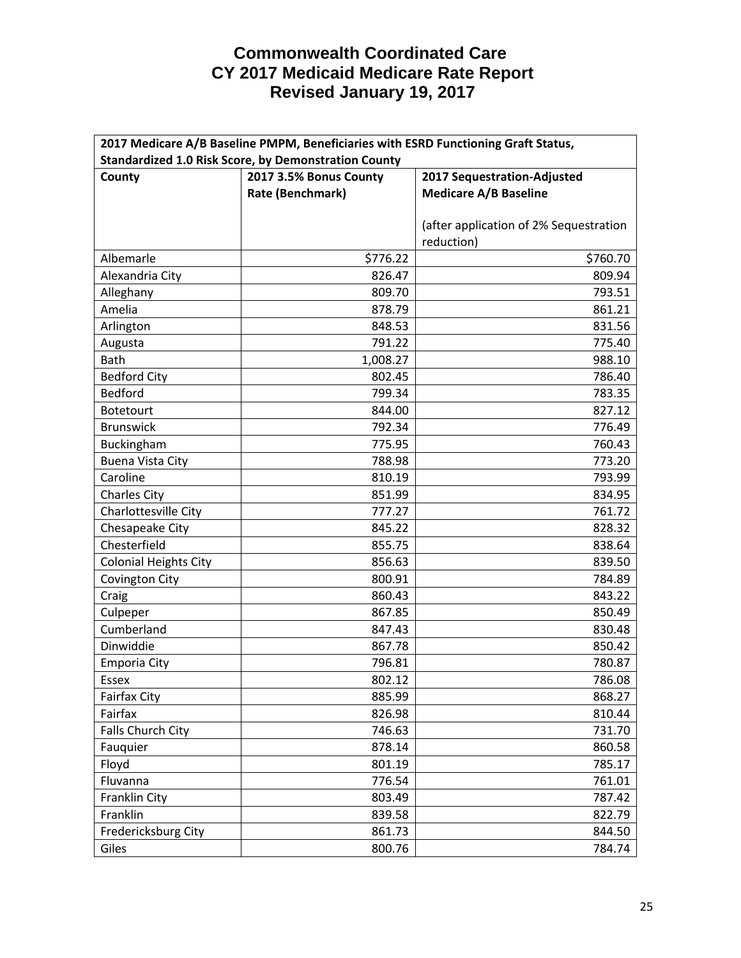| 2017 Medicare A/B Baseline PMPM, Beneficiaries with ESRD Functioning Graft Status, |                        |                                        |  |  |
|------------------------------------------------------------------------------------|------------------------|----------------------------------------|--|--|
| <b>Standardized 1.0 Risk Score, by Demonstration County</b>                        |                        |                                        |  |  |
| County                                                                             | 2017 3.5% Bonus County | 2017 Sequestration-Adjusted            |  |  |
|                                                                                    | Rate (Benchmark)       | <b>Medicare A/B Baseline</b>           |  |  |
|                                                                                    |                        |                                        |  |  |
|                                                                                    |                        | (after application of 2% Sequestration |  |  |
|                                                                                    |                        | reduction)                             |  |  |
| Albemarle                                                                          | \$776.22               | \$760.70                               |  |  |
| Alexandria City                                                                    | 826.47                 | 809.94                                 |  |  |
| Alleghany                                                                          | 809.70                 | 793.51                                 |  |  |
| Amelia                                                                             | 878.79                 | 861.21                                 |  |  |
| Arlington                                                                          | 848.53                 | 831.56                                 |  |  |
| Augusta                                                                            | 791.22                 | 775.40                                 |  |  |
| <b>Bath</b>                                                                        | 1,008.27               | 988.10                                 |  |  |
| <b>Bedford City</b>                                                                | 802.45                 | 786.40                                 |  |  |
| <b>Bedford</b>                                                                     | 799.34                 | 783.35                                 |  |  |
| Botetourt                                                                          | 844.00                 | 827.12                                 |  |  |
| <b>Brunswick</b>                                                                   | 792.34                 | 776.49                                 |  |  |
| Buckingham                                                                         | 775.95                 | 760.43                                 |  |  |
| <b>Buena Vista City</b>                                                            | 788.98                 | 773.20                                 |  |  |
| Caroline                                                                           | 810.19                 | 793.99                                 |  |  |
| <b>Charles City</b>                                                                | 851.99                 | 834.95                                 |  |  |
| Charlottesville City                                                               | 777.27                 | 761.72                                 |  |  |
| Chesapeake City                                                                    | 845.22                 | 828.32                                 |  |  |
| Chesterfield                                                                       | 855.75                 | 838.64                                 |  |  |
| <b>Colonial Heights City</b>                                                       | 856.63                 | 839.50                                 |  |  |
| Covington City                                                                     | 800.91                 | 784.89                                 |  |  |
| Craig                                                                              | 860.43                 | 843.22                                 |  |  |
| Culpeper                                                                           | 867.85                 | 850.49                                 |  |  |
| Cumberland                                                                         | 847.43                 | 830.48                                 |  |  |
| Dinwiddie                                                                          | 867.78                 | 850.42                                 |  |  |
| <b>Emporia City</b>                                                                | 796.81                 | 780.87                                 |  |  |
| Essex                                                                              | 802.12                 | 786.08                                 |  |  |
| <b>Fairfax City</b>                                                                | 885.99                 | 868.27                                 |  |  |
| Fairfax                                                                            | 826.98                 | 810.44                                 |  |  |
| Falls Church City                                                                  | 746.63                 | 731.70                                 |  |  |
| Fauquier                                                                           | 878.14                 | 860.58                                 |  |  |
| Floyd                                                                              | 801.19                 | 785.17                                 |  |  |
| Fluvanna                                                                           | 776.54                 | 761.01                                 |  |  |
| Franklin City                                                                      | 803.49                 | 787.42                                 |  |  |
| Franklin                                                                           | 839.58                 | 822.79                                 |  |  |
| Fredericksburg City                                                                | 861.73                 | 844.50                                 |  |  |
| Giles                                                                              | 800.76                 | 784.74                                 |  |  |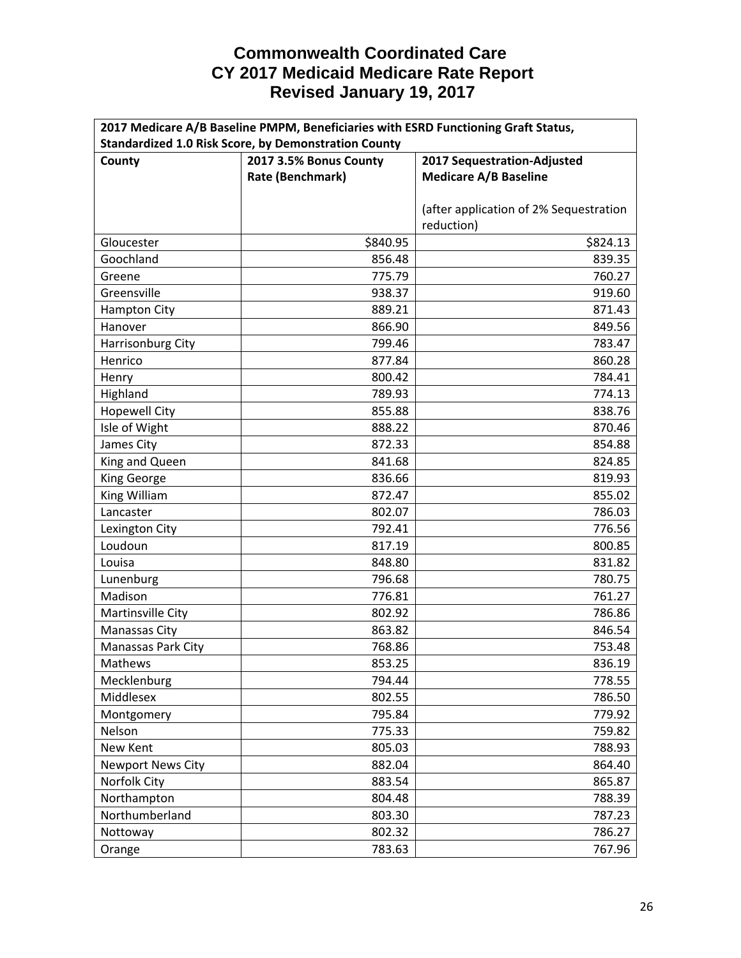| 2017 Medicare A/B Baseline PMPM, Beneficiaries with ESRD Functioning Graft Status, |                        |                                        |  |  |
|------------------------------------------------------------------------------------|------------------------|----------------------------------------|--|--|
| <b>Standardized 1.0 Risk Score, by Demonstration County</b>                        |                        |                                        |  |  |
| County                                                                             | 2017 3.5% Bonus County | 2017 Sequestration-Adjusted            |  |  |
|                                                                                    | Rate (Benchmark)       | <b>Medicare A/B Baseline</b>           |  |  |
|                                                                                    |                        |                                        |  |  |
|                                                                                    |                        | (after application of 2% Sequestration |  |  |
|                                                                                    |                        | reduction)                             |  |  |
| Gloucester                                                                         | \$840.95               | \$824.13                               |  |  |
| Goochland                                                                          | 856.48                 | 839.35                                 |  |  |
| Greene                                                                             | 775.79                 | 760.27                                 |  |  |
| Greensville                                                                        | 938.37                 | 919.60                                 |  |  |
| <b>Hampton City</b>                                                                | 889.21                 | 871.43                                 |  |  |
| Hanover                                                                            | 866.90                 | 849.56                                 |  |  |
| Harrisonburg City                                                                  | 799.46                 | 783.47                                 |  |  |
| Henrico                                                                            | 877.84                 | 860.28                                 |  |  |
| Henry                                                                              | 800.42                 | 784.41                                 |  |  |
| Highland                                                                           | 789.93                 | 774.13                                 |  |  |
| <b>Hopewell City</b>                                                               | 855.88                 | 838.76                                 |  |  |
| Isle of Wight                                                                      | 888.22                 | 870.46                                 |  |  |
| James City                                                                         | 872.33                 | 854.88                                 |  |  |
| King and Queen                                                                     | 841.68                 | 824.85                                 |  |  |
| King George                                                                        | 836.66                 | 819.93                                 |  |  |
| King William                                                                       | 872.47                 | 855.02                                 |  |  |
| Lancaster                                                                          | 802.07                 | 786.03                                 |  |  |
| Lexington City                                                                     | 792.41                 | 776.56                                 |  |  |
| Loudoun                                                                            | 817.19                 | 800.85                                 |  |  |
| Louisa                                                                             | 848.80                 | 831.82                                 |  |  |
| Lunenburg                                                                          | 796.68                 | 780.75                                 |  |  |
| Madison                                                                            | 776.81                 | 761.27                                 |  |  |
| Martinsville City                                                                  | 802.92                 | 786.86                                 |  |  |
| <b>Manassas City</b>                                                               | 863.82                 | 846.54                                 |  |  |
| Manassas Park City                                                                 | 768.86                 | 753.48                                 |  |  |
| Mathews                                                                            | 853.25                 | 836.19                                 |  |  |
| Mecklenburg                                                                        | 794.44                 | 778.55                                 |  |  |
| Middlesex                                                                          | 802.55                 | 786.50                                 |  |  |
| Montgomery                                                                         | 795.84                 | 779.92                                 |  |  |
| Nelson                                                                             | 775.33                 | 759.82                                 |  |  |
| New Kent                                                                           | 805.03                 | 788.93                                 |  |  |
| <b>Newport News City</b>                                                           | 882.04                 | 864.40                                 |  |  |
| Norfolk City                                                                       | 883.54                 | 865.87                                 |  |  |
| Northampton                                                                        | 804.48                 | 788.39                                 |  |  |
| Northumberland                                                                     | 803.30                 | 787.23                                 |  |  |
| Nottoway                                                                           | 802.32                 | 786.27                                 |  |  |
| Orange                                                                             | 783.63                 | 767.96                                 |  |  |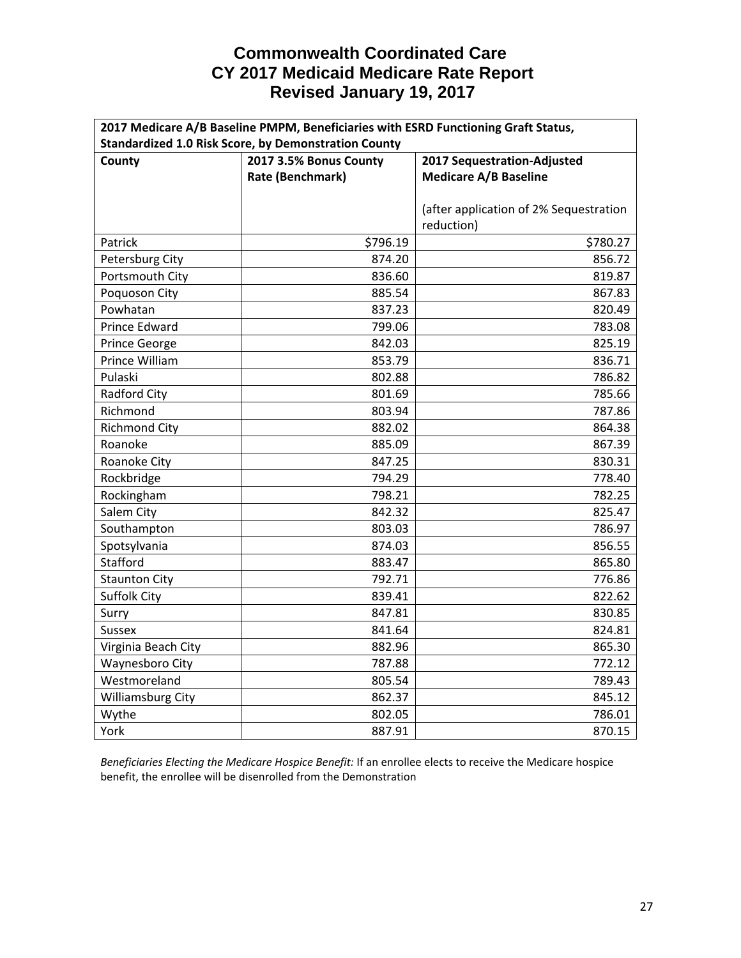| 2017 Medicare A/B Baseline PMPM, Beneficiaries with ESRD Functioning Graft Status, |                                                       |                                        |  |
|------------------------------------------------------------------------------------|-------------------------------------------------------|----------------------------------------|--|
| <b>Standardized 1.0 Risk Score, by Demonstration County</b>                        |                                                       |                                        |  |
| County                                                                             | 2017 3.5% Bonus County<br>2017 Sequestration-Adjusted |                                        |  |
|                                                                                    | Rate (Benchmark)                                      | <b>Medicare A/B Baseline</b>           |  |
|                                                                                    |                                                       |                                        |  |
|                                                                                    |                                                       | (after application of 2% Sequestration |  |
|                                                                                    |                                                       | reduction)                             |  |
| Patrick                                                                            | \$796.19                                              | \$780.27                               |  |
| Petersburg City                                                                    | 874.20                                                | 856.72                                 |  |
| Portsmouth City                                                                    | 836.60                                                | 819.87                                 |  |
| Poquoson City                                                                      | 885.54                                                | 867.83                                 |  |
| Powhatan                                                                           | 837.23                                                | 820.49                                 |  |
| <b>Prince Edward</b>                                                               | 799.06                                                | 783.08                                 |  |
| <b>Prince George</b>                                                               | 842.03                                                | 825.19                                 |  |
| Prince William                                                                     | 853.79                                                | 836.71                                 |  |
| Pulaski                                                                            | 802.88                                                | 786.82                                 |  |
| Radford City                                                                       | 801.69                                                | 785.66                                 |  |
| Richmond                                                                           | 803.94                                                | 787.86                                 |  |
| <b>Richmond City</b>                                                               | 882.02                                                | 864.38                                 |  |
| Roanoke                                                                            | 885.09                                                | 867.39                                 |  |
| Roanoke City                                                                       | 847.25                                                | 830.31                                 |  |
| Rockbridge                                                                         | 794.29                                                | 778.40                                 |  |
| Rockingham                                                                         | 798.21                                                | 782.25                                 |  |
| Salem City                                                                         | 842.32                                                | 825.47                                 |  |
| Southampton                                                                        | 803.03                                                | 786.97                                 |  |
| Spotsylvania                                                                       | 874.03                                                | 856.55                                 |  |
| Stafford                                                                           | 883.47                                                | 865.80                                 |  |
| <b>Staunton City</b>                                                               | 792.71                                                | 776.86                                 |  |
| Suffolk City                                                                       | 839.41                                                | 822.62                                 |  |
| Surry                                                                              | 847.81                                                | 830.85                                 |  |
| <b>Sussex</b>                                                                      | 841.64                                                | 824.81                                 |  |
| Virginia Beach City                                                                | 882.96                                                | 865.30                                 |  |
| Waynesboro City                                                                    | 787.88                                                | 772.12                                 |  |
| Westmoreland                                                                       | 805.54                                                | 789.43                                 |  |
| Williamsburg City                                                                  | 862.37                                                | 845.12                                 |  |
| Wythe                                                                              | 802.05                                                | 786.01                                 |  |
| York                                                                               | 887.91                                                | 870.15                                 |  |

*Beneficiaries Electing the Medicare Hospice Benefit:* If an enrollee elects to receive the Medicare hospice benefit, the enrollee will be disenrolled from the Demonstration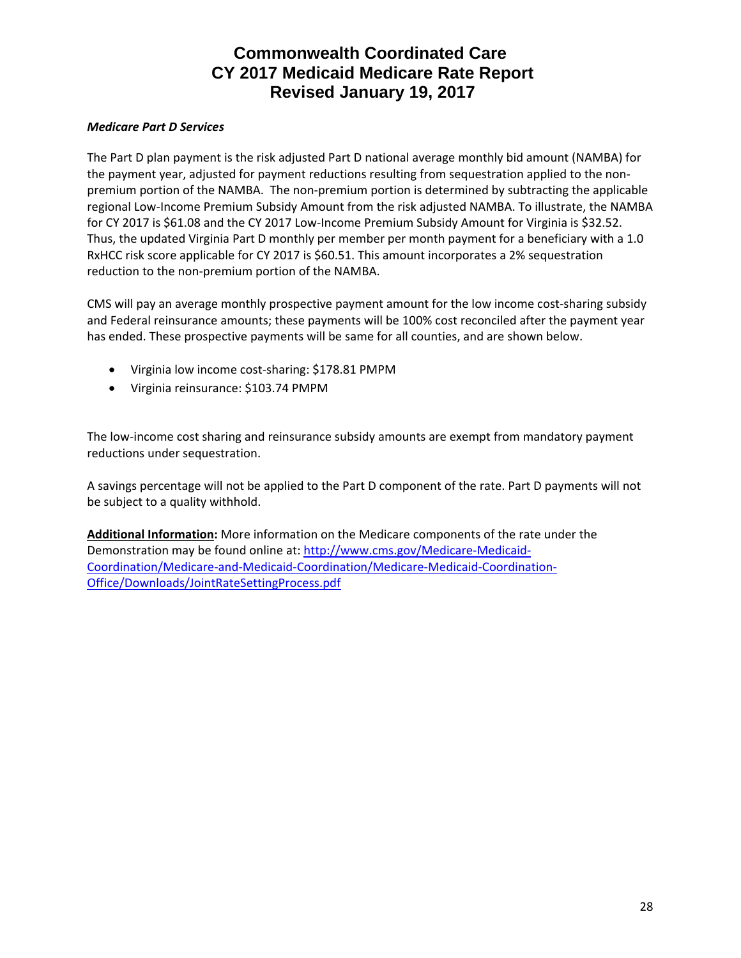#### *Medicare Part D Services*

The Part D plan payment is the risk adjusted Part D national average monthly bid amount (NAMBA) for the payment year, adjusted for payment reductions resulting from sequestration applied to the non‐ premium portion of the NAMBA. The non-premium portion is determined by subtracting the applicable regional Low‐Income Premium Subsidy Amount from the risk adjusted NAMBA. To illustrate, the NAMBA for CY 2017 is \$61.08 and the CY 2017 Low‐Income Premium Subsidy Amount for Virginia is \$32.52. Thus, the updated Virginia Part D monthly per member per month payment for a beneficiary with a 1.0 RxHCC risk score applicable for CY 2017 is \$60.51. This amount incorporates a 2% sequestration reduction to the non‐premium portion of the NAMBA.

CMS will pay an average monthly prospective payment amount for the low income cost-sharing subsidy and Federal reinsurance amounts; these payments will be 100% cost reconciled after the payment year has ended. These prospective payments will be same for all counties, and are shown below.

- Virginia low income cost-sharing: \$178.81 PMPM
- Virginia reinsurance: \$103.74 PMPM

The low-income cost sharing and reinsurance subsidy amounts are exempt from mandatory payment reductions under sequestration.

A savings percentage will not be applied to the Part D component of the rate. Part D payments will not be subject to a quality withhold.

**Additional Information:** More information on the Medicare components of the rate under the Demonstration may be found online at: http://www.cms.gov/Medicare-Medicaid-Coordination/Medicare‐and‐Medicaid‐Coordination/Medicare‐Medicaid‐Coordination‐ Office/Downloads/JointRateSettingProcess.pdf